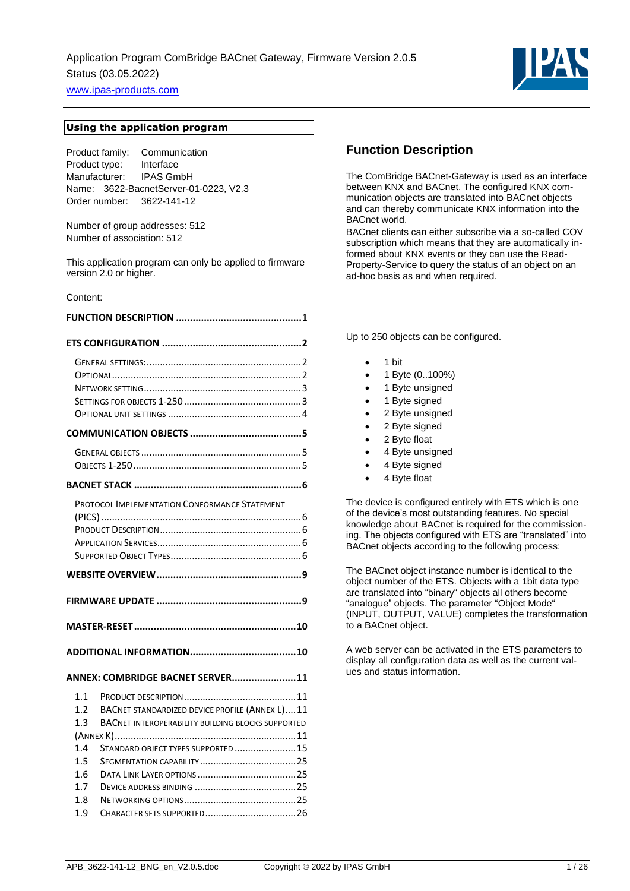

#### **Using the application program**

Product family: Communication Product type: Interface Manufacturer: IPAS GmbH Name: 3622-BacnetServer-01-0223, V2.3 Order number: 3622-141-12

Number of group addresses: 512 Number of association: 512

This application program can only be applied to firmware version 2.0 or higher.

#### Content:

|                   | PROTOCOL IMPLEMENTATION CONFORMANCE STATEMENT                                                               |
|-------------------|-------------------------------------------------------------------------------------------------------------|
|                   |                                                                                                             |
|                   |                                                                                                             |
|                   |                                                                                                             |
|                   |                                                                                                             |
|                   | ANNEX: COMBRIDGE BACNET SERVER11                                                                            |
| 1.1<br>1.2<br>1.3 | BACNET STANDARDIZED DEVICE PROFILE (ANNEX L) 11<br><b>BACNET INTEROPERABILITY BUILDING BLOCKS SUPPORTED</b> |
|                   |                                                                                                             |
| 1.4<br>1.5        | STANDARD OBJECT TYPES SUPPORTED  15                                                                         |
| 1.6               |                                                                                                             |
| 17                |                                                                                                             |
| 1.8               |                                                                                                             |

1.9 CHARACTER SETS SUPPORTED[..................................26](#page-25-0)

## <span id="page-0-0"></span>**Function Description**

The ComBridge BACnet-Gateway is used as an interface between KNX and BACnet. The configured KNX communication objects are translated into BACnet objects and can thereby communicate KNX information into the BACnet world.

BACnet clients can either subscribe via a so-called COV subscription which means that they are automatically informed about KNX events or they can use the Read-Property-Service to query the status of an object on an ad-hoc basis as and when required.

Up to 250 objects can be configured.

- 1 bit
- 1 Byte (0..100%)
- 1 Byte unsigned
- 1 Byte signed
- 2 Byte unsigned
- 2 Byte signed
- 2 Byte float
- 4 Byte unsigned
- 4 Byte signed
- 4 Byte float

The device is configured entirely with ETS which is one of the device's most outstanding features. No special knowledge about BACnet is required for the commissioning. The objects configured with ETS are "translated" into BACnet objects according to the following process:

The BACnet object instance number is identical to the object number of the ETS. Objects with a 1bit data type are translated into "binary" objects all others become "analogue" objects. The parameter "Object Mode" (INPUT, OUTPUT, VALUE) completes the transformation to a BACnet object.

A web server can be activated in the ETS parameters to display all configuration data as well as the current values and status information.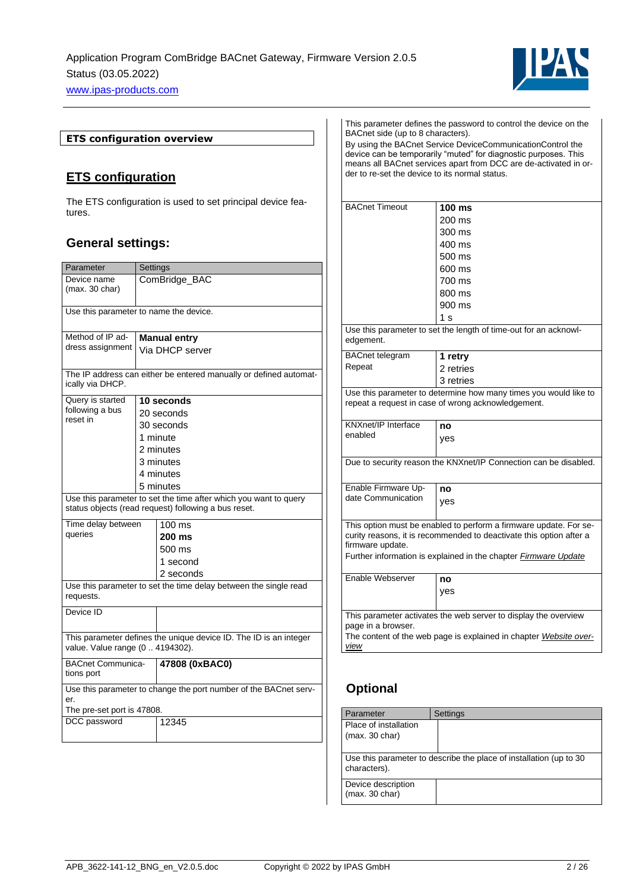

### **ETS configuration overview**

## <span id="page-1-0"></span>**ETS configuration**

The ETS configuration is used to set principal device features.

## <span id="page-1-1"></span>**General settings:**

| Parameter                                                                                                                | Settings                                                          |                 |  |
|--------------------------------------------------------------------------------------------------------------------------|-------------------------------------------------------------------|-----------------|--|
| Device name<br>(max. 30 char)                                                                                            |                                                                   | ComBridge_BAC   |  |
| Use this parameter to name the device.                                                                                   |                                                                   |                 |  |
| Method of IP ad-                                                                                                         | <b>Manual entry</b>                                               |                 |  |
| dress assignment                                                                                                         |                                                                   | Via DHCP server |  |
| ically via DHCP.                                                                                                         | The IP address can either be entered manually or defined automat- |                 |  |
| Query is started                                                                                                         |                                                                   | 10 seconds      |  |
| following a bus<br>reset in                                                                                              |                                                                   | 20 seconds      |  |
|                                                                                                                          |                                                                   | 30 seconds      |  |
|                                                                                                                          | 1 minute                                                          |                 |  |
|                                                                                                                          |                                                                   | 2 minutes       |  |
|                                                                                                                          |                                                                   | 3 minutes       |  |
|                                                                                                                          |                                                                   | 4 minutes       |  |
|                                                                                                                          |                                                                   | 5 minutes       |  |
| Use this parameter to set the time after which you want to query<br>status objects (read request) following a bus reset. |                                                                   |                 |  |
| Time delay between<br>$100 \text{ ms}$                                                                                   |                                                                   |                 |  |
| queries                                                                                                                  |                                                                   | 200 ms          |  |
|                                                                                                                          |                                                                   | 500 ms          |  |
|                                                                                                                          |                                                                   | 1 second        |  |
|                                                                                                                          |                                                                   | 2 seconds       |  |
| Use this parameter to set the time delay between the single read<br>requests.                                            |                                                                   |                 |  |
| Device ID                                                                                                                |                                                                   |                 |  |
| This parameter defines the unique device ID. The ID is an integer<br>value. Value range (0  4194302).                    |                                                                   |                 |  |
| <b>BACnet Communica-</b><br>47808 (0xBAC0)<br>tions port                                                                 |                                                                   |                 |  |
| Use this parameter to change the port number of the BACnet serv-<br>er.                                                  |                                                                   |                 |  |
| The pre-set port is 47808.                                                                                               |                                                                   |                 |  |
| DCC password                                                                                                             |                                                                   | 12345           |  |

| This parameter defines the password to control the device on the<br>BACnet side (up to 8 characters).<br>By using the BACnet Service DeviceCommunicationControl the<br>device can be temporarily "muted" for diagnostic purposes. This<br>means all BACnet services apart from DCC are de-activated in or-<br>der to re-set the device to its normal status. |                                                                  |  |
|--------------------------------------------------------------------------------------------------------------------------------------------------------------------------------------------------------------------------------------------------------------------------------------------------------------------------------------------------------------|------------------------------------------------------------------|--|
| <b>BACnet Timeout</b>                                                                                                                                                                                                                                                                                                                                        | 100 ms                                                           |  |
|                                                                                                                                                                                                                                                                                                                                                              | 200 ms                                                           |  |
|                                                                                                                                                                                                                                                                                                                                                              | 300 ms                                                           |  |
|                                                                                                                                                                                                                                                                                                                                                              | 400 ms                                                           |  |
|                                                                                                                                                                                                                                                                                                                                                              | 500 ms                                                           |  |
|                                                                                                                                                                                                                                                                                                                                                              | 600 ms                                                           |  |
|                                                                                                                                                                                                                                                                                                                                                              | 700 ms                                                           |  |
|                                                                                                                                                                                                                                                                                                                                                              | 800 ms                                                           |  |
|                                                                                                                                                                                                                                                                                                                                                              | 900 ms                                                           |  |
|                                                                                                                                                                                                                                                                                                                                                              | 1 s                                                              |  |
| edgement.                                                                                                                                                                                                                                                                                                                                                    | Use this parameter to set the length of time-out for an acknowl- |  |
| <b>BACnet telegram</b>                                                                                                                                                                                                                                                                                                                                       | 1 retry                                                          |  |
| Repeat                                                                                                                                                                                                                                                                                                                                                       | 2 retries                                                        |  |
|                                                                                                                                                                                                                                                                                                                                                              | 3 retries                                                        |  |
| Use this parameter to determine how many times you would like to<br>repeat a request in case of wrong acknowledgement.                                                                                                                                                                                                                                       |                                                                  |  |
| <b>KNXnet/IP Interface</b>                                                                                                                                                                                                                                                                                                                                   | no                                                               |  |
| enabled                                                                                                                                                                                                                                                                                                                                                      | ves                                                              |  |
|                                                                                                                                                                                                                                                                                                                                                              |                                                                  |  |
| Due to security reason the KNXnet/IP Connection can be disabled.                                                                                                                                                                                                                                                                                             |                                                                  |  |
| Enable Firmware Up-                                                                                                                                                                                                                                                                                                                                          | no                                                               |  |
| date Communication                                                                                                                                                                                                                                                                                                                                           | yes                                                              |  |
| This option must be enabled to perform a firmware update. For se-<br>curity reasons, it is recommended to deactivate this option after a<br>firmware update.<br>Further information is explained in the chapter <i>Firmware Update</i>                                                                                                                       |                                                                  |  |
| Enable Webserver                                                                                                                                                                                                                                                                                                                                             | no                                                               |  |
|                                                                                                                                                                                                                                                                                                                                                              | yes                                                              |  |
|                                                                                                                                                                                                                                                                                                                                                              |                                                                  |  |
|                                                                                                                                                                                                                                                                                                                                                              | This parameter activates the web server to display the overview  |  |
| page in a browser.                                                                                                                                                                                                                                                                                                                                           |                                                                  |  |
| The content of the web page is explained in chapter <i>Website over-</i>                                                                                                                                                                                                                                                                                     |                                                                  |  |
| view                                                                                                                                                                                                                                                                                                                                                         |                                                                  |  |

# <span id="page-1-2"></span>**Optional**

| Parameter                                                                           | Settings |
|-------------------------------------------------------------------------------------|----------|
| Place of installation<br>(max. 30 char)                                             |          |
| Use this parameter to describe the place of installation (up to 30)<br>characters). |          |
| Device description<br>(max. 30 char)                                                |          |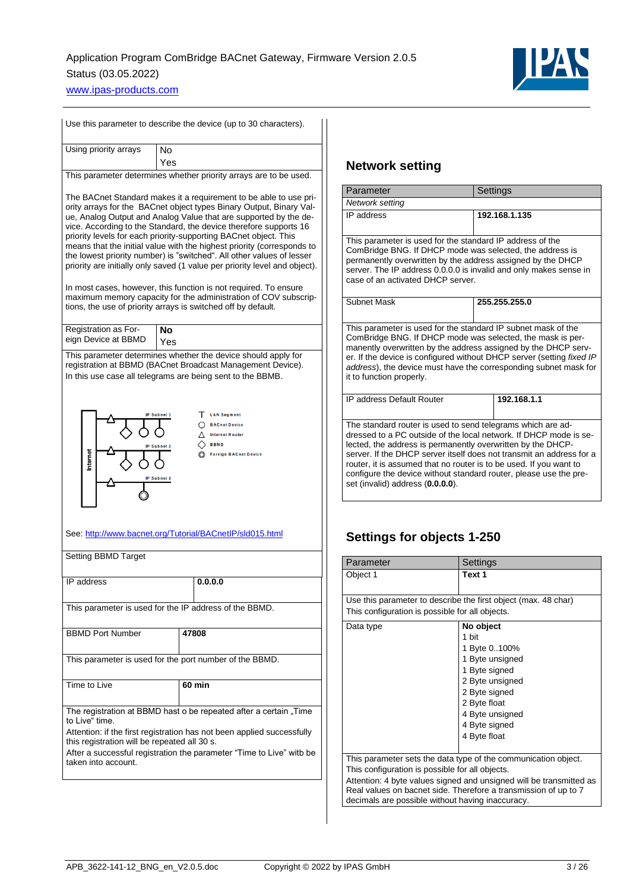

| Use this parameter to describe the device (up to 30 characters).                                                                                                                                                                                                                                                                                                                                                                                                                                                                                                                                                                                                                                                                                                                               |                                                                                                                                                                                           |  |
|------------------------------------------------------------------------------------------------------------------------------------------------------------------------------------------------------------------------------------------------------------------------------------------------------------------------------------------------------------------------------------------------------------------------------------------------------------------------------------------------------------------------------------------------------------------------------------------------------------------------------------------------------------------------------------------------------------------------------------------------------------------------------------------------|-------------------------------------------------------------------------------------------------------------------------------------------------------------------------------------------|--|
| Using priority arrays                                                                                                                                                                                                                                                                                                                                                                                                                                                                                                                                                                                                                                                                                                                                                                          | No<br>Yes                                                                                                                                                                                 |  |
|                                                                                                                                                                                                                                                                                                                                                                                                                                                                                                                                                                                                                                                                                                                                                                                                | This parameter determines whether priority arrays are to be used.                                                                                                                         |  |
| The BACnet Standard makes it a requirement to be able to use pri-<br>ority arrays for the BACnet object types Binary Output, Binary Val-<br>ue, Analog Output and Analog Value that are supported by the de-<br>vice. According to the Standard, the device therefore supports 16<br>priority levels for each priority-supporting BACnet object. This<br>means that the initial value with the highest priority (corresponds to<br>the lowest priority number) is "switched". All other values of lesser<br>priority are initially only saved (1 value per priority level and object).<br>In most cases, however, this function is not required. To ensure<br>maximum memory capacity for the administration of COV subscrip-<br>tions, the use of priority arrays is switched off by default. |                                                                                                                                                                                           |  |
| Registration as For-<br>eign Device at BBMD                                                                                                                                                                                                                                                                                                                                                                                                                                                                                                                                                                                                                                                                                                                                                    | Nο<br>Yes                                                                                                                                                                                 |  |
|                                                                                                                                                                                                                                                                                                                                                                                                                                                                                                                                                                                                                                                                                                                                                                                                | This parameter determines whether the device should apply for<br>registration at BBMD (BACnet Broadcast Management Device).<br>In this use case all telegrams are being sent to the BBMB. |  |
| т.<br><b>LAN Segment</b><br><b>IP Subnet 1</b><br><b>BACnet Device</b><br><b>Internet Router</b><br><b>BBMD</b><br>Subnet 2<br>nternet<br><b>Foreign BACnet Device</b><br><b>IP Subnet 3</b>                                                                                                                                                                                                                                                                                                                                                                                                                                                                                                                                                                                                   |                                                                                                                                                                                           |  |
|                                                                                                                                                                                                                                                                                                                                                                                                                                                                                                                                                                                                                                                                                                                                                                                                | See: http://www.bacnet.org/Tutorial/BACnetIP/sId015.html                                                                                                                                  |  |
| Setting BBMD Target                                                                                                                                                                                                                                                                                                                                                                                                                                                                                                                                                                                                                                                                                                                                                                            |                                                                                                                                                                                           |  |
| IP address                                                                                                                                                                                                                                                                                                                                                                                                                                                                                                                                                                                                                                                                                                                                                                                     | 0.0.0.0                                                                                                                                                                                   |  |
| This parameter is used for the IP address of the BBMD.                                                                                                                                                                                                                                                                                                                                                                                                                                                                                                                                                                                                                                                                                                                                         |                                                                                                                                                                                           |  |
| <b>BBMD Port Number</b>                                                                                                                                                                                                                                                                                                                                                                                                                                                                                                                                                                                                                                                                                                                                                                        | 47808                                                                                                                                                                                     |  |
| This parameter is used for the port number of the BBMD.                                                                                                                                                                                                                                                                                                                                                                                                                                                                                                                                                                                                                                                                                                                                        |                                                                                                                                                                                           |  |
| Time to Live                                                                                                                                                                                                                                                                                                                                                                                                                                                                                                                                                                                                                                                                                                                                                                                   | 60 min                                                                                                                                                                                    |  |
| The registration at BBMD hast o be repeated after a certain "Time<br>to Live" time.<br>Attention: if the first registration has not been applied successfully<br>this registration will be repeated all 30 s.<br>After a successful registration the parameter "Time to Live" witb be<br>taken into account.                                                                                                                                                                                                                                                                                                                                                                                                                                                                                   |                                                                                                                                                                                           |  |

## <span id="page-2-0"></span>**Network setting**

| Parameter                                                                                                                                                                                                                                                                                                                                                                                                                                              | Settings      |  |
|--------------------------------------------------------------------------------------------------------------------------------------------------------------------------------------------------------------------------------------------------------------------------------------------------------------------------------------------------------------------------------------------------------------------------------------------------------|---------------|--|
| Network setting                                                                                                                                                                                                                                                                                                                                                                                                                                        |               |  |
| IP address                                                                                                                                                                                                                                                                                                                                                                                                                                             | 192.168.1.135 |  |
| This parameter is used for the standard IP address of the<br>ComBridge BNG. If DHCP mode was selected, the address is<br>permanently overwritten by the address assigned by the DHCP<br>server. The IP address 0.0.0.0 is invalid and only makes sense in<br>case of an activated DHCP server.                                                                                                                                                         |               |  |
| Subnet Mask                                                                                                                                                                                                                                                                                                                                                                                                                                            | 255.255.255.0 |  |
| This parameter is used for the standard IP subnet mask of the<br>ComBridge BNG. If DHCP mode was selected, the mask is per-<br>manently overwritten by the address assigned by the DHCP serv-<br>er. If the device is configured without DHCP server (setting fixed IP<br>address), the device must have the corresponding subnet mask for<br>it to function properly.                                                                                 |               |  |
| <b>IP address Default Router</b>                                                                                                                                                                                                                                                                                                                                                                                                                       | 192.168.1.1   |  |
| The standard router is used to send telegrams which are ad-<br>dressed to a PC outside of the local network. If DHCP mode is se-<br>lected, the address is permanently overwritten by the DHCP-<br>server. If the DHCP server itself does not transmit an address for a<br>router, it is assumed that no router is to be used. If you want to<br>configure the device without standard router, please use the pre-<br>set (invalid) address (0.0.0.0). |               |  |

## <span id="page-2-1"></span>**Settings for objects 1-250**

| Parameter                                                           | Settings                                                       |
|---------------------------------------------------------------------|----------------------------------------------------------------|
| Object 1                                                            | Text 1                                                         |
|                                                                     |                                                                |
|                                                                     | Use this parameter to describe the first object (max. 48 char) |
| This configuration is possible for all objects.                     |                                                                |
| Data type                                                           | No object                                                      |
|                                                                     | 1 bit                                                          |
|                                                                     | 1 Byte 0100%                                                   |
|                                                                     | 1 Byte unsigned                                                |
|                                                                     | 1 Byte signed                                                  |
|                                                                     | 2 Byte unsigned                                                |
|                                                                     | 2 Byte signed                                                  |
|                                                                     | 2 Byte float                                                   |
|                                                                     | 4 Byte unsigned                                                |
|                                                                     | 4 Byte signed                                                  |
|                                                                     | 4 Byte float                                                   |
|                                                                     |                                                                |
|                                                                     | This parameter sets the data type of the communication object. |
| This configuration is possible for all objects.                     |                                                                |
| Attention: 4 byte values signed and unsigned will be transmitted as |                                                                |
| Real values on bacnet side. Therefore a transmission of up to 7     |                                                                |
| decimals are possible without having inaccuracy.                    |                                                                |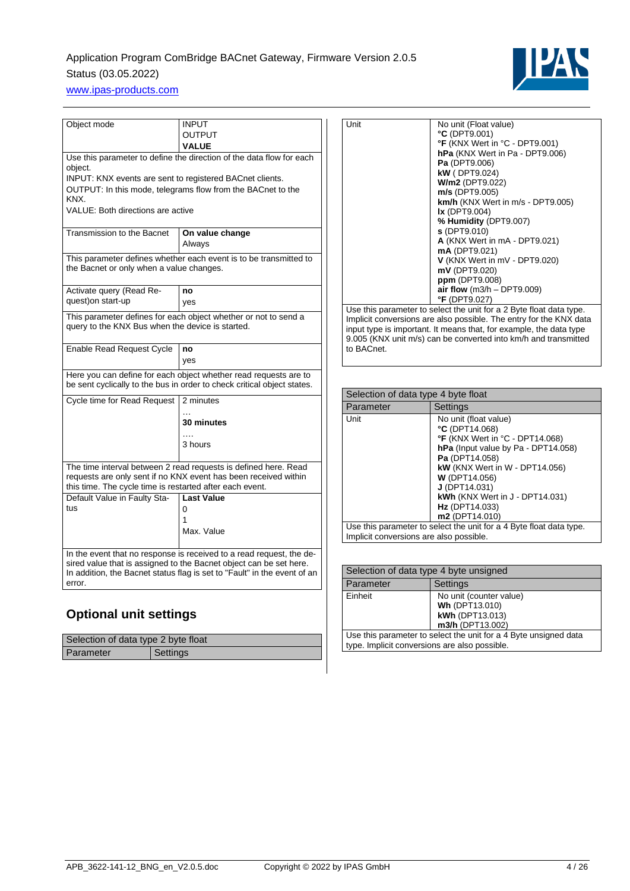# Application Program ComBridge BACnet Gateway, Firmware Version 2.0.5 Status (03.05.2022)



[www.ipas-products.com](http://www.ipas-products.com/)

| Object mode                                                                                                                                                                                    | INPUT                                                                                                         |  |  |
|------------------------------------------------------------------------------------------------------------------------------------------------------------------------------------------------|---------------------------------------------------------------------------------------------------------------|--|--|
|                                                                                                                                                                                                | <b>OUTPUT</b>                                                                                                 |  |  |
|                                                                                                                                                                                                | <b>VALUE</b>                                                                                                  |  |  |
| Use this parameter to define the direction of the data flow for each                                                                                                                           |                                                                                                               |  |  |
| object.<br>INPUT: KNX events are sent to registered BACnet clients.                                                                                                                            |                                                                                                               |  |  |
| KNX.                                                                                                                                                                                           | OUTPUT: In this mode, telegrams flow from the BACnet to the                                                   |  |  |
| VALUE: Both directions are active                                                                                                                                                              |                                                                                                               |  |  |
| Transmission to the Bacnet                                                                                                                                                                     | On value change<br>Always                                                                                     |  |  |
|                                                                                                                                                                                                | This parameter defines whether each event is to be transmitted to<br>the Bacnet or only when a value changes. |  |  |
| Activate query (Read Re-                                                                                                                                                                       | no                                                                                                            |  |  |
| quest) on start-up                                                                                                                                                                             | ves                                                                                                           |  |  |
| This parameter defines for each object whether or not to send a<br>query to the KNX Bus when the device is started.                                                                            |                                                                                                               |  |  |
| Enable Read Request Cycle                                                                                                                                                                      | no                                                                                                            |  |  |
|                                                                                                                                                                                                | yes                                                                                                           |  |  |
| Here you can define for each object whether read requests are to<br>be sent cyclically to the bus in order to check critical object states.                                                    |                                                                                                               |  |  |
| Cycle time for Read Request<br>2 minutes                                                                                                                                                       |                                                                                                               |  |  |
|                                                                                                                                                                                                | <b>30 minutes</b>                                                                                             |  |  |
|                                                                                                                                                                                                |                                                                                                               |  |  |
|                                                                                                                                                                                                | 3 hours                                                                                                       |  |  |
| The time interval between 2 read requests is defined here. Read<br>requests are only sent if no KNX event has been received within<br>this time. The cycle time is restarted after each event. |                                                                                                               |  |  |
| Default Value in Faulty Sta-                                                                                                                                                                   | <b>Last Value</b>                                                                                             |  |  |
| tus                                                                                                                                                                                            | 0                                                                                                             |  |  |
|                                                                                                                                                                                                | 1                                                                                                             |  |  |
|                                                                                                                                                                                                | Max. Value                                                                                                    |  |  |
| In the event that no response is received to a read request, the de-                                                                                                                           |                                                                                                               |  |  |
| sired value that is assigned to the Bacnet object can be set here.<br>In addition, the Bacnet status flag is set to "Fault" in the event of an                                                 |                                                                                                               |  |  |
| error.                                                                                                                                                                                         |                                                                                                               |  |  |
|                                                                                                                                                                                                |                                                                                                               |  |  |

# <span id="page-3-0"></span>**Optional unit settings**

| Selection of data type 2 byte float |                 |  |
|-------------------------------------|-----------------|--|
| Parameter                           | <b>Settings</b> |  |

| Unit                                                               | No unit (Float value)<br>°C (DPT9.001)<br>°F (KNX Wert in °C - DPT9.001)<br><b>hPa</b> (KNX Wert in Pa - DPT9.006)<br>Pa (DPT9.006)<br>kW (DPT9.024)<br>W/m2 (DPT9.022)<br>$m/s$ (DPT9.005)<br>km/h (KNX Wert in m/s - DPT9.005)<br>$\mathsf{lx}$ (DPT9.004)<br>% Humidity (DPT9.007)<br>S(DPT9.010)<br>A (KNX Wert in mA - DPT9.021)<br>mA (DPT9.021)<br>V (KNX Wert in mV - DPT9.020)<br>mV (DPT9.020) |
|--------------------------------------------------------------------|----------------------------------------------------------------------------------------------------------------------------------------------------------------------------------------------------------------------------------------------------------------------------------------------------------------------------------------------------------------------------------------------------------|
|                                                                    |                                                                                                                                                                                                                                                                                                                                                                                                          |
|                                                                    |                                                                                                                                                                                                                                                                                                                                                                                                          |
|                                                                    |                                                                                                                                                                                                                                                                                                                                                                                                          |
|                                                                    | ppm (DPT9.008)                                                                                                                                                                                                                                                                                                                                                                                           |
|                                                                    | air flow $(m3/h - DPT9.009)$                                                                                                                                                                                                                                                                                                                                                                             |
|                                                                    | °F (DPT9.027)                                                                                                                                                                                                                                                                                                                                                                                            |
|                                                                    | Use this parameter to select the unit for a 2 Byte float data type.                                                                                                                                                                                                                                                                                                                                      |
| Implicit conversions are also possible. The entry for the KNX data |                                                                                                                                                                                                                                                                                                                                                                                                          |
| input type is important. It means that, for example, the data type |                                                                                                                                                                                                                                                                                                                                                                                                          |
| 9.005 (KNX unit m/s) can be converted into km/h and transmitted    |                                                                                                                                                                                                                                                                                                                                                                                                          |
| to BACnet.                                                         |                                                                                                                                                                                                                                                                                                                                                                                                          |

| Selection of data type 4 byte float                                                                            |                                                                                                                                                                                                                                                                                                  |
|----------------------------------------------------------------------------------------------------------------|--------------------------------------------------------------------------------------------------------------------------------------------------------------------------------------------------------------------------------------------------------------------------------------------------|
| Parameter                                                                                                      | Settings                                                                                                                                                                                                                                                                                         |
| Unit                                                                                                           | No unit (float value)<br>$°C$ (DPT14.068)<br>°F (KNX Wert in °C - DPT14.068)<br>hPa (Input value by Pa - DPT14.058)<br>Pa (DPT14.058)<br><b>kW</b> (KNX Wert in W - DPT14.056)<br><b>W</b> (DPT14.056)<br>$J$ (DPT14.031)<br>kWh (KNX Wert in J - DPT14.031)<br>Hz (DPT14.033)<br>m2 (DPT14.010) |
| Use this parameter to select the unit for a 4 Byte float data type.<br>Implicit conversions are also possible. |                                                                                                                                                                                                                                                                                                  |

| Selection of data type 4 byte unsigned        |                                                                                  |  |  |  |  |  |
|-----------------------------------------------|----------------------------------------------------------------------------------|--|--|--|--|--|
| <b>Settings</b><br>Parameter                  |                                                                                  |  |  |  |  |  |
| Einheit                                       | No unit (counter value)<br>Wh (DPT13.010)<br>kWh (DPT13.013)<br>m3/h (DPT13.002) |  |  |  |  |  |
| type. Implicit conversions are also possible. | Use this parameter to select the unit for a 4 Byte unsigned data                 |  |  |  |  |  |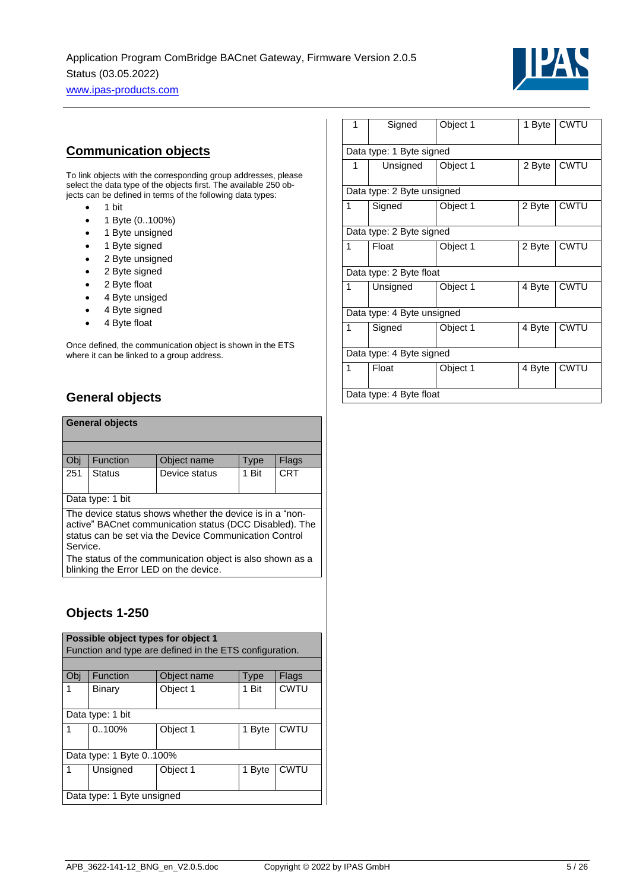

## <span id="page-4-0"></span>**Communication objects**

To link objects with the corresponding group addresses, please select the data type of the objects first. The available 250 objects can be defined in terms of the following data types:

- 1 bit
- 1 Byte (0..100%)
- 1 Byte unsigned
- 1 Byte signed
- 2 Byte unsigned
- 2 Byte signed
- 2 Byte float
- 
- 4 Byte unsiged
- 4 Byte signed
- 4 Byte float

Once defined, the communication object is shown in the ETS where it can be linked to a group address.

# <span id="page-4-1"></span>**General objects**

|                  | <b>General objects</b>                                                                                                                                                        |               |       |            |  |  |  |  |
|------------------|-------------------------------------------------------------------------------------------------------------------------------------------------------------------------------|---------------|-------|------------|--|--|--|--|
|                  |                                                                                                                                                                               |               |       |            |  |  |  |  |
| Obi              | <b>Function</b>                                                                                                                                                               | Object name   | Type  | Flags      |  |  |  |  |
| 251              | <b>Status</b>                                                                                                                                                                 | Device status | 1 Bit | <b>CRT</b> |  |  |  |  |
| Data type: 1 bit |                                                                                                                                                                               |               |       |            |  |  |  |  |
|                  | The device status shows whether the device is in a "non-<br>active" BACnet communication status (DCC Disabled). The<br>status can be set via the Device Communication Control |               |       |            |  |  |  |  |

Service. The status of the communication object is also shown as a blinking the Error LED on the device.

## <span id="page-4-2"></span>**Objects 1-250**

|                                                 | Possible object types for object 1                      |          |             |             |  |  |  |  |  |  |
|-------------------------------------------------|---------------------------------------------------------|----------|-------------|-------------|--|--|--|--|--|--|
|                                                 | Function and type are defined in the ETS configuration. |          |             |             |  |  |  |  |  |  |
|                                                 |                                                         |          |             |             |  |  |  |  |  |  |
| Function<br>Object name<br>Obj<br>Flags<br>Type |                                                         |          |             |             |  |  |  |  |  |  |
| 1                                               | Binary                                                  | 1 Bit    | <b>CWTU</b> |             |  |  |  |  |  |  |
|                                                 | Data type: 1 bit                                        |          |             |             |  |  |  |  |  |  |
|                                                 | 0.100%                                                  | Object 1 | 1 Byte      | <b>CWTU</b> |  |  |  |  |  |  |
|                                                 | Data type: 1 Byte 0100%                                 |          |             |             |  |  |  |  |  |  |
|                                                 | <b>CWTU</b><br>Unsigned<br>Object 1<br>1 Byte           |          |             |             |  |  |  |  |  |  |
|                                                 | Data type: 1 Byte unsigned                              |          |             |             |  |  |  |  |  |  |

| 1                          | Signed                     | Object 1 | 1 Byte | <b>CWTU</b> |  |  |  |  |
|----------------------------|----------------------------|----------|--------|-------------|--|--|--|--|
|                            | Data type: 1 Byte signed   |          |        |             |  |  |  |  |
| 1                          | Unsigned                   | Object 1 | 2 Byte | <b>CWTU</b> |  |  |  |  |
| Data type: 2 Byte unsigned |                            |          |        |             |  |  |  |  |
| 1                          | Signed                     | Object 1 | 2 Byte | <b>CWTU</b> |  |  |  |  |
|                            | Data type: 2 Byte signed   |          |        |             |  |  |  |  |
| 1                          | Float                      | Object 1 | 2 Byte | <b>CWTU</b> |  |  |  |  |
|                            | Data type: 2 Byte float    |          |        |             |  |  |  |  |
| 1                          | Unsigned                   | Object 1 | 4 Byte | <b>CWTU</b> |  |  |  |  |
|                            | Data type: 4 Byte unsigned |          |        |             |  |  |  |  |
| 1                          | Signed                     | Object 1 | 4 Byte | <b>CWTU</b> |  |  |  |  |
|                            | Data type: 4 Byte signed   |          |        |             |  |  |  |  |
| 1                          | Float                      | Object 1 | 4 Byte | CWTU        |  |  |  |  |
|                            | Data type: 4 Byte float    |          |        |             |  |  |  |  |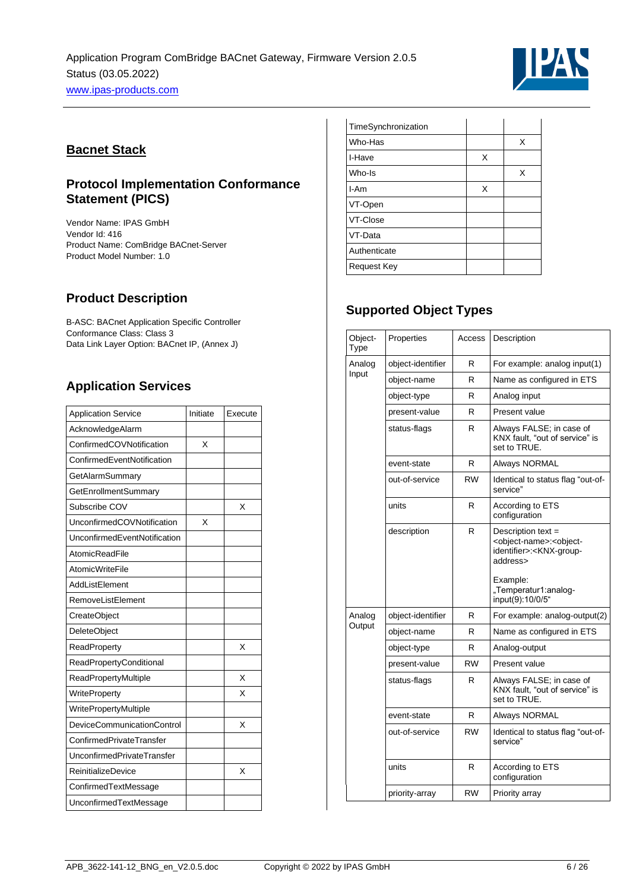

## <span id="page-5-0"></span>**Bacnet Stack**

## <span id="page-5-1"></span>**Protocol Implementation Conformance Statement (PICS)**

Vendor Name: IPAS GmbH Vendor Id: 416 Product Name: ComBridge BACnet-Server Product Model Number: 1.0

# <span id="page-5-2"></span>**Product Description**

B-ASC: BACnet Application Specific Controller Conformance Class: Class 3 Data Link Layer Option: BACnet IP, (Annex J)

# <span id="page-5-3"></span>**Application Services**

| <b>Application Service</b>     | Initiate | Execute |
|--------------------------------|----------|---------|
| AcknowledgeAlarm               |          |         |
| ConfirmedCOVNotification       | X        |         |
| ConfirmedEventNotification     |          |         |
| GetAlarmSummary                |          |         |
| GetEnrollmentSummary           |          |         |
| Subscribe COV                  |          | X       |
| UnconfirmedCOVNotification     | X        |         |
| UnconfirmedEventNotification   |          |         |
| AtomicReadFile                 |          |         |
| <b>AtomicWriteFile</b>         |          |         |
| AddListElement                 |          |         |
| RemoveListElement              |          |         |
| CreateObject                   |          |         |
| DeleteObject                   |          |         |
| ReadProperty                   |          | X       |
| <b>ReadPropertyConditional</b> |          |         |
| ReadPropertyMultiple           |          | X       |
| <b>WriteProperty</b>           |          | X       |
| WritePropertyMultiple          |          |         |
| DeviceCommunicationControl     |          | X       |
| ConfirmedPrivateTransfer       |          |         |
| UnconfirmedPrivateTransfer     |          |         |
| <b>ReinitializeDevice</b>      |          | X       |
| ConfirmedTextMessage           |          |         |
| UnconfirmedTextMessage         |          |         |

| TimeSynchronization |   |   |
|---------------------|---|---|
| Who-Has             |   | X |
| I-Have              | X |   |
| Who-Is              |   | X |
| I-Am                | X |   |
| VT-Open             |   |   |
| VT-Close            |   |   |
| VT-Data             |   |   |
| Authenticate        |   |   |
| <b>Request Key</b>  |   |   |

# <span id="page-5-4"></span>**Supported Object Types**

| Object-<br>Type | Properties        | Access    | Description                                                                                                                                       |
|-----------------|-------------------|-----------|---------------------------------------------------------------------------------------------------------------------------------------------------|
| Analog          | object-identifier | R         | For example: analog input(1)                                                                                                                      |
| Input           | object-name       | R         | Name as configured in ETS                                                                                                                         |
|                 | object-type       | R         | Analog input                                                                                                                                      |
|                 | present-value     | R         | Present value                                                                                                                                     |
|                 | status-flags      | R         | Always FALSE; in case of<br>KNX fault, "out of service" is<br>set to TRUE.                                                                        |
|                 | event-state       | R         | Always NORMAL                                                                                                                                     |
|                 | out-of-service    | <b>RW</b> | Identical to status flag "out-of-<br>service"                                                                                                     |
|                 | units             | R         | According to ETS<br>configuration                                                                                                                 |
|                 | description       | R         | Description text =<br><object-name>:<object-<br>identifier&gt;:<knx-group-<br>address&gt;<br/>Example:</knx-group-<br></object-<br></object-name> |
|                 |                   |           | "Temperatur1:analog-<br>input(9):10/0/5"                                                                                                          |
| Analog          | object-identifier | R         | For example: analog-output(2)                                                                                                                     |
| Output          | object-name       | R         | Name as configured in ETS                                                                                                                         |
|                 | object-type       | R         | Analog-output                                                                                                                                     |
|                 | present-value     | <b>RW</b> | Present value                                                                                                                                     |
|                 | status-flags      | R         | Always FALSE; in case of<br>KNX fault, "out of service" is<br>set to TRUE.                                                                        |
|                 | event-state       | R         | Always NORMAL                                                                                                                                     |
|                 | out-of-service    | <b>RW</b> | Identical to status flag "out-of-<br>service"                                                                                                     |
|                 | units             | R         | According to ETS<br>configuration                                                                                                                 |
|                 | priority-array    | <b>RW</b> | Priority array                                                                                                                                    |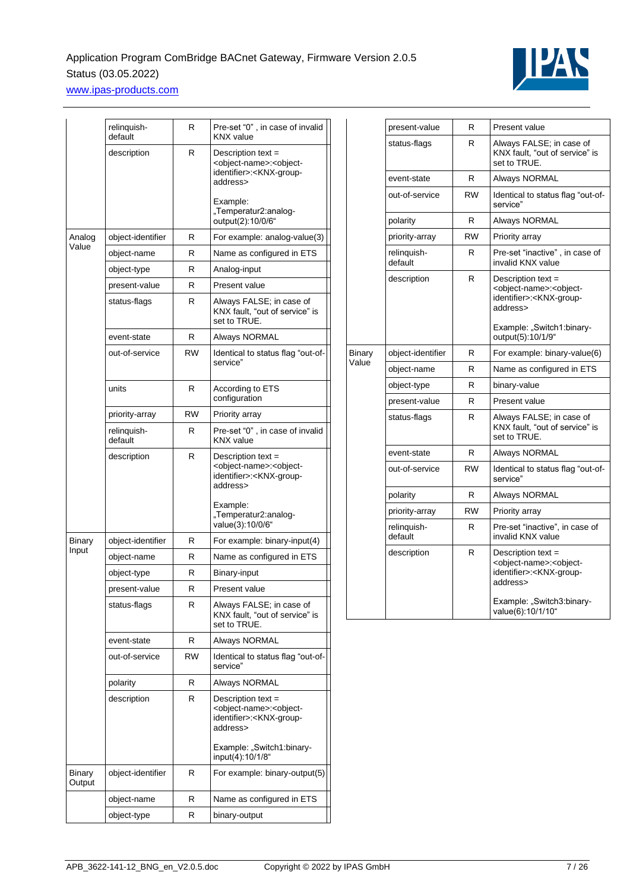

|                  | relinquish-<br>default | R         | Pre-set "0", in case of invalid<br><b>KNX</b> value                                                                                                                  |
|------------------|------------------------|-----------|----------------------------------------------------------------------------------------------------------------------------------------------------------------------|
|                  | description            | R         | Description text =<br><object-name>:<object-<br>identifier&gt;:<knx-group-<br>address&gt;</knx-group-<br></object-<br></object-name>                                 |
|                  |                        |           | Example:<br>"Temperatur2:analog-<br>output(2):10/0/6"                                                                                                                |
| Analog           | object-identifier      | R         | For example: analog-value(3)                                                                                                                                         |
| Value            | object-name            | R         | Name as configured in ETS                                                                                                                                            |
|                  | object-type            | R         | Analog-input                                                                                                                                                         |
|                  | present-value          | R         | Present value                                                                                                                                                        |
|                  | status-flags           | R         | Always FALSE; in case of<br>KNX fault, "out of service" is<br>set to TRUE.                                                                                           |
|                  | event-state            | R         | Always NORMAL                                                                                                                                                        |
|                  | out-of-service         | RW        | Identical to status flag "out-of-<br>service"                                                                                                                        |
|                  | units                  | R         | According to ETS<br>configuration                                                                                                                                    |
|                  | priority-array         | RW        | Priority array                                                                                                                                                       |
|                  | relinquish-<br>default | R         | Pre-set "0", in case of invalid<br><b>KNX</b> value                                                                                                                  |
|                  | description            | R         | Description text =<br><object-name>:<object-<br>identifier&gt;:<knx-group-<br>address&gt;</knx-group-<br></object-<br></object-name>                                 |
|                  |                        |           | Example:<br>"Temperatur2:analog-<br>value(3):10/0/6"                                                                                                                 |
| Binary           | object-identifier      | R         | For example: binary-input(4)                                                                                                                                         |
| Input            | object-name            | R         | Name as configured in ETS                                                                                                                                            |
|                  | object-type            | R         | Binary-input                                                                                                                                                         |
|                  | present-value          | R         | Present value                                                                                                                                                        |
|                  | status-flags           | R         | Always FALSE; in case of<br>KNX fault, "out of service" is<br>set to TRUE.                                                                                           |
|                  | event-state            | R         | Always NORMAL                                                                                                                                                        |
|                  | out-of-service         | <b>RW</b> | Identical to status flag "out-of-<br>service"                                                                                                                        |
|                  | polarity               | R         | Always NORMAL                                                                                                                                                        |
|                  | description            | R         | Description text $=$<br><object-name>:<object-<br>identifier&gt;:<knx-group-<br>address&gt;<br/>Example: "Switch1:binary-</knx-group-<br></object-<br></object-name> |
|                  |                        |           | input(4):10/1/8"                                                                                                                                                     |
| Binary<br>Output | object-identifier      | R         | For example: binary-output(5)                                                                                                                                        |
|                  | object-name            | R         | Name as configured in ETS                                                                                                                                            |
|                  | object-type            | R         | binary-output                                                                                                                                                        |

|               | present-value          | R         | Present value                                                                                                                                                                            |
|---------------|------------------------|-----------|------------------------------------------------------------------------------------------------------------------------------------------------------------------------------------------|
|               | status-flags           | R         | Always FALSE; in case of<br>KNX fault, "out of service" is<br>set to TRUE.                                                                                                               |
|               | event-state            | R         | Always NORMAL                                                                                                                                                                            |
|               | out-of-service         | <b>RW</b> | Identical to status flag "out-of-<br>service"                                                                                                                                            |
|               | polarity               | R         | Always NORMAL                                                                                                                                                                            |
|               | priority-array         | <b>RW</b> | Priority array                                                                                                                                                                           |
|               | relinquish-<br>default | R         | Pre-set "inactive", in case of<br>invalid KNX value                                                                                                                                      |
|               | description            | R         | Description text =<br><object-name>:<object-<br>identifier&gt;:<knx-group-<br>address&gt;<br/>Example: "Switch1:binary-<br/>output(5):10/1/9"</knx-group-<br></object-<br></object-name> |
| <b>Binary</b> | object-identifier      | R         | For example: binary-value(6)                                                                                                                                                             |
| Value         | object-name            | R         | Name as configured in ETS                                                                                                                                                                |
|               | object-type            | R         | binary-value                                                                                                                                                                             |
|               | present-value          | R         | Present value                                                                                                                                                                            |
|               | status-flags           | R         | Always FALSE; in case of<br>KNX fault, "out of service" is<br>set to TRUE.                                                                                                               |
|               | event-state            | R         | Always NORMAL                                                                                                                                                                            |
|               | out-of-service         | <b>RW</b> | Identical to status flag "out-of-<br>service"                                                                                                                                            |
|               | polarity               | R         | Always NORMAL                                                                                                                                                                            |
|               | priority-array         | <b>RW</b> | Priority array                                                                                                                                                                           |
|               | relinquish-<br>default | R         | Pre-set "inactive", in case of<br>invalid KNX value                                                                                                                                      |
|               | description            | R         | Description text =<br><object-name>:<object-<br>identifier&gt;:<knx-group-<br>address&gt;<br/>Example: "Switch3:binary-<br/>value(6):10/1/10"</knx-group-<br></object-<br></object-name> |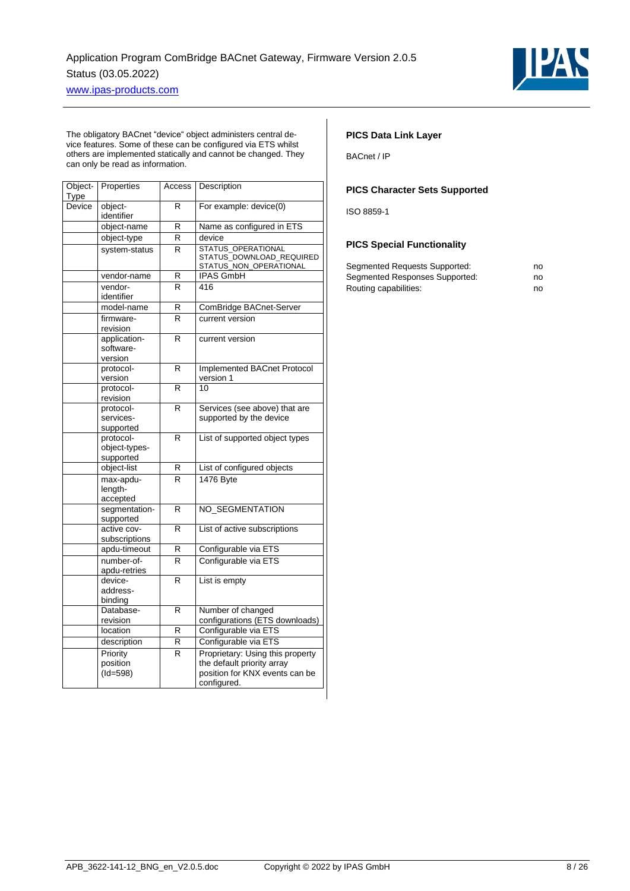

The obligatory BACnet "device" object administers central device features. Some of these can be configured via ETS whilst others are implemented statically and cannot be changed. They can only be read as information.

| Object-<br>Type | Properties                              | Access | Description                                                                                                     |
|-----------------|-----------------------------------------|--------|-----------------------------------------------------------------------------------------------------------------|
| Device          | object-<br>identifier                   | R      | For example: device(0)                                                                                          |
|                 | object-name                             | R      | Name as configured in ETS                                                                                       |
|                 | object-type                             | R      | device                                                                                                          |
|                 | system-status                           | R      | STATUS_OPERATIONAL<br>STATUS DOWNLOAD REQUIRED<br>STATUS_NON_OPERATIONAL                                        |
|                 | vendor-name                             | R      | <b>IPAS GmbH</b>                                                                                                |
|                 | vendor-<br>identifier                   | R      | 416                                                                                                             |
|                 | model-name                              | R      | ComBridge BACnet-Server                                                                                         |
|                 | firmware-<br>revision                   | R      | current version                                                                                                 |
|                 | application-<br>software-<br>version    | R      | current version                                                                                                 |
|                 | protocol-<br>version                    | R      | Implemented BACnet Protocol<br>version 1                                                                        |
|                 | protocol-<br>revision                   | R      | 10                                                                                                              |
|                 | protocol-<br>services-<br>supported     | R      | Services (see above) that are<br>supported by the device                                                        |
|                 | protocol-<br>object-types-<br>supported | R      | List of supported object types                                                                                  |
|                 | object-list                             | R      | List of configured objects                                                                                      |
|                 | max-apdu-<br>length-<br>accepted        | R      | 1476 Byte                                                                                                       |
|                 | segmentation-<br>supported              | R      | NO_SEGMENTATION                                                                                                 |
|                 | active cov-<br>subscriptions            | R      | List of active subscriptions                                                                                    |
|                 | apdu-timeout                            | R      | Configurable via ETS                                                                                            |
|                 | number-of-<br>apdu-retries              | R      | Configurable via ETS                                                                                            |
|                 | device-<br>address-<br>binding          | R      | List is empty                                                                                                   |
|                 | Database-<br>revision                   | R      | Number of changed<br>configurations (ETS downloads)                                                             |
|                 | location                                | R      | Configurable via ETS                                                                                            |
|                 | description                             | R      | Configurable via ETS                                                                                            |
|                 | Priority<br>position<br>$(Id=598)$      | R      | Proprietary: Using this property<br>the default priority array<br>position for KNX events can be<br>configured. |

### **PICS Data Link Layer**

BACnet / IP

#### **PICS Character Sets Supported**

ISO 8859-1

#### **PICS Special Functionality**

| Segmented Requests Supported:  | no |
|--------------------------------|----|
| Segmented Responses Supported: | no |
| Routing capabilities:          | no |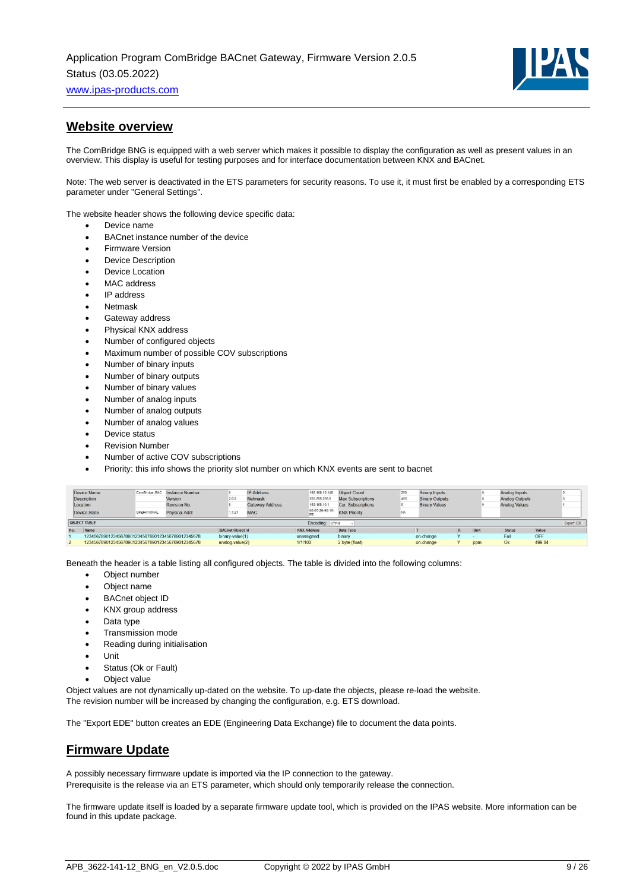

## <span id="page-8-0"></span>**Website overview**

The ComBridge BNG is equipped with a web server which makes it possible to display the configuration as well as present values in an overview. This display is useful for testing purposes and for interface documentation between KNX and BACnet.

Note: The web server is deactivated in the ETS parameters for security reasons. To use it, it must first be enabled by a corresponding ETS parameter under "General Settings".

The website header shows the following device specific data:

- Device name
- BACnet instance number of the device
- Firmware Version
- Device Description
- Device Location
- MAC address
- IP address
- **Netmask**
- Gateway address
- Physical KNX address
- Number of configured objects
- Maximum number of possible COV subscriptions
- Number of binary inputs
- Number of binary outputs
- Number of binary values
- Number of analog inputs
- Number of analog outputs
- Number of analog values
- Device status
- **Revision Number**
- Number of active COV subscriptions
- Priority: this info shows the priority slot number on which KNX events are sent to bacnet

|     | Device Name<br>Description<br>Location           |                    | ComBridge BAC Instance Number<br>Version<br>Revision No. | 2.0.0                   | <b>IP Address</b><br>192.168.10.148<br>255 255 255.0<br>Netmask<br><b>Gateway Address</b><br>192 168 10.1<br>00-05-26-90-16- | <b>Object Count</b><br><b>Max Subscriptions</b><br><b>Cur. Subscriptions</b> | 250<br><b>Binary Inputs</b><br>455<br><b>Binary Outputs</b><br><b>Binary Values</b> |    |           | Analog Inputs<br>Analog Outputs<br>Analog Values |     |               |        |            |
|-----|--------------------------------------------------|--------------------|----------------------------------------------------------|-------------------------|------------------------------------------------------------------------------------------------------------------------------|------------------------------------------------------------------------------|-------------------------------------------------------------------------------------|----|-----------|--------------------------------------------------|-----|---------------|--------|------------|
|     | Device State<br>OBJECT TABLE                     | <b>OPERATIONAL</b> | <b>Physical Addr</b>                                     | 1.1.21                  | <b>MAC</b>                                                                                                                   | Encoding: UTF-8                                                              | <b>KNX Priority</b>                                                                 | NA |           |                                                  |     |               |        | Export EDE |
| No. | Name                                             |                    |                                                          | <b>BACnet Object Id</b> |                                                                                                                              | <b>KNX Address</b>                                                           | Data Type                                                                           |    |           | $\mathbf R$                                      | Uni | <b>Status</b> | Value  |            |
|     | 123456789012345678901234567890123456789012345678 |                    |                                                          | binary-value(1)         |                                                                                                                              | unassigned                                                                   | binary                                                                              |    | on-change |                                                  |     | Fail          | OFF    |            |
|     | 123456789012345678901234567890123456789012345678 |                    |                                                          | analog-value(2)         |                                                                                                                              | 1/1/100                                                                      | 2 byte (float)                                                                      |    | on-change |                                                  | ppm |               | 499.84 |            |

Beneath the header is a table listing all configured objects. The table is divided into the following columns:

- Object number
- Object name
- **BACnet object ID**
- KNX group address
- Data type
- Transmission mode
- Reading during initialisation
- Unit
- Status (Ok or Fault)
- Object value

Object values are not dynamically up-dated on the website. To up-date the objects, please re-load the website. The revision number will be increased by changing the configuration, e.g. ETS download.

<span id="page-8-1"></span>The "Export EDE" button creates an EDE (Engineering Data Exchange) file to document the data points.

## **Firmware Update**

A possibly necessary firmware update is imported via the IP connection to the gateway. Prerequisite is the release via an ETS parameter, which should only temporarily release the connection.

The firmware update itself is loaded by a separate firmware update tool, which is provided on the IPAS website. More information can be found in this update package.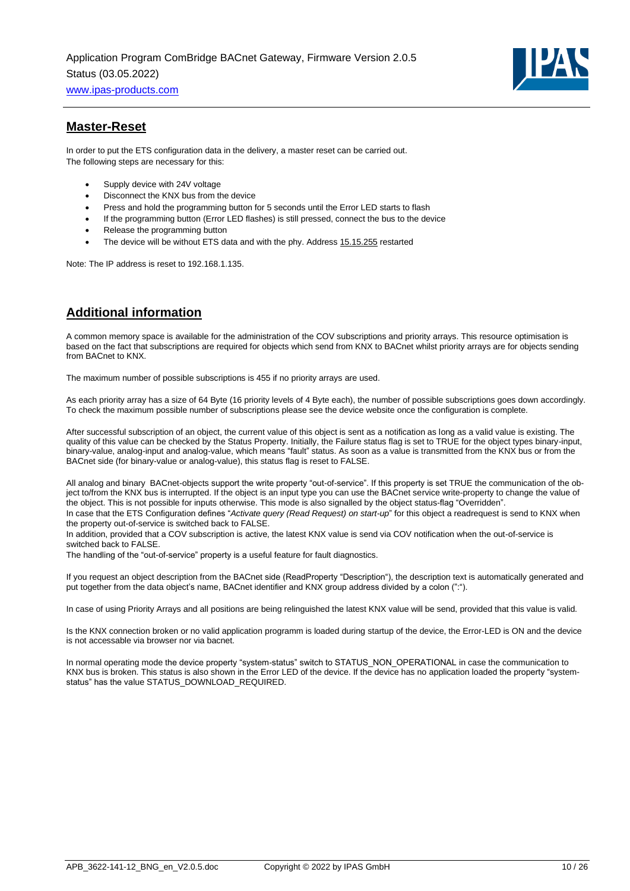

## <span id="page-9-0"></span>**Master-Reset**

In order to put the ETS configuration data in the delivery, a master reset can be carried out. The following steps are necessary for this:

- Supply device with 24V voltage
- Disconnect the KNX bus from the device
- Press and hold the programming button for 5 seconds until the Error LED starts to flash
- If the programming button (Error LED flashes) is still pressed, connect the bus to the device
- Release the programming button
- The device will be without ETS data and with the phy. Address 15.15.255 restarted

Note: The IP address is reset to 192.168.1.135.

# <span id="page-9-1"></span>**Additional information**

A common memory space is available for the administration of the COV subscriptions and priority arrays. This resource optimisation is based on the fact that subscriptions are required for objects which send from KNX to BACnet whilst priority arrays are for objects sending from BACnet to KNX.

The maximum number of possible subscriptions is 455 if no priority arrays are used.

As each priority array has a size of 64 Byte (16 priority levels of 4 Byte each), the number of possible subscriptions goes down accordingly. To check the maximum possible number of subscriptions please see the device website once the configuration is complete.

After successful subscription of an object, the current value of this object is sent as a notification as long as a valid value is existing. The quality of this value can be checked by the Status Property. Initially, the Failure status flag is set to TRUE for the object types binary-input, binary-value, analog-input and analog-value, which means "fault" status. As soon as a value is transmitted from the KNX bus or from the BACnet side (for binary-value or analog-value), this status flag is reset to FALSE.

All analog and binary BACnet-objects support the write property "out-of-service". If this property is set TRUE the communication of the object to/from the KNX bus is interrupted. If the object is an input type you can use the BACnet service write-property to change the value of the object. This is not possible for inputs otherwise. This mode is also signalled by the object status-flag "Overridden".

In case that the ETS Configuration defines "*Activate query (Read Request) on start-up*" for this object a readrequest is send to KNX when the property out-of-service is switched back to FALSE.

In addition, provided that a COV subscription is active, the latest KNX value is send via COV notification when the out-of-service is switched back to FALSE.

The handling of the "out-of-service" property is a useful feature for fault diagnostics.

If you request an object description from the BACnet side (ReadProperty "Description"), the description text is automatically generated and put together from the data object's name, BACnet identifier and KNX group address divided by a colon (":").

In case of using Priority Arrays and all positions are being relinguished the latest KNX value will be send, provided that this value is valid.

Is the KNX connection broken or no valid application programm is loaded during startup of the device, the Error-LED is ON and the device is not accessable via browser nor via bacnet.

In normal operating mode the device property "system-status" switch to STATUS\_NON\_OPERATIONAL in case the communication to KNX bus is broken. This status is also shown in the Error LED of the device. If the device has no application loaded the property "systemstatus" has the value STATUS\_DOWNLOAD\_REQUIRED.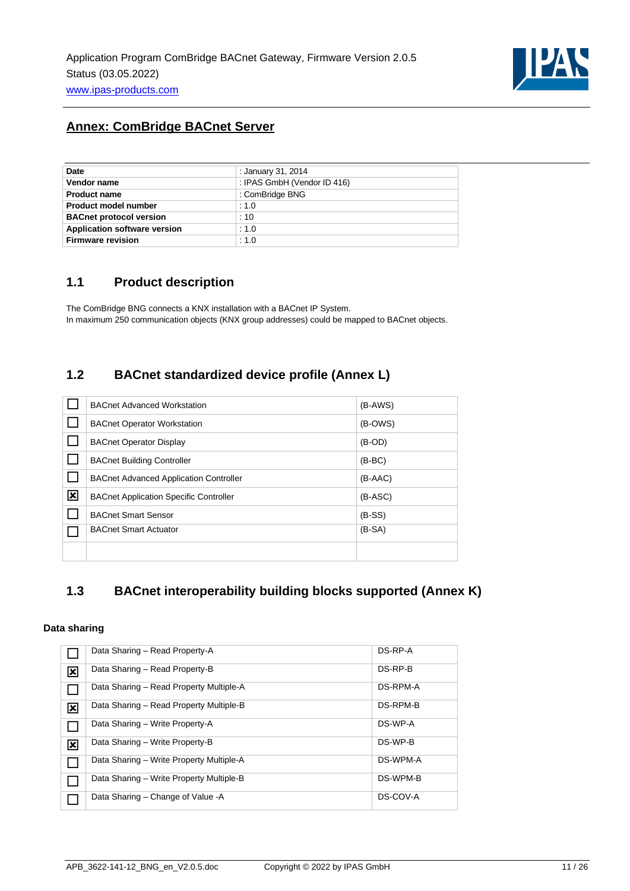

# <span id="page-10-0"></span>**Annex: ComBridge BACnet Server**

| Date                                | : January 31, 2014          |
|-------------------------------------|-----------------------------|
| Vendor name                         | : IPAS GmbH (Vendor ID 416) |
| <b>Product name</b>                 | : ComBridge BNG             |
| <b>Product model number</b>         | : 1.0                       |
| <b>BACnet protocol version</b>      | :10                         |
| <b>Application software version</b> | : 1.0                       |
| <b>Firmware revision</b>            | : 1.0                       |

## <span id="page-10-1"></span>**1.1 Product description**

The ComBridge BNG connects a KNX installation with a BACnet IP System. In maximum 250 communication objects (KNX group addresses) could be mapped to BACnet objects.

## <span id="page-10-2"></span>**1.2 BACnet standardized device profile (Annex L)**

|   | <b>BACnet Advanced Workstation</b>            | $(B-AWS)$ |
|---|-----------------------------------------------|-----------|
|   | <b>BACnet Operator Workstation</b>            | (B-OWS)   |
|   | <b>BACnet Operator Display</b>                | $(B-OD)$  |
|   | <b>BACnet Building Controller</b>             | $(B-BC)$  |
|   | <b>BACnet Advanced Application Controller</b> | $(B-AAC)$ |
| 図 | <b>BACnet Application Specific Controller</b> | $(B-ASC)$ |
|   | <b>BACnet Smart Sensor</b>                    | $(B-SS)$  |
|   | <b>BACnet Smart Actuator</b>                  | $(B-SA)$  |
|   |                                               |           |

## <span id="page-10-3"></span>**1.3 BACnet interoperability building blocks supported (Annex K)**

### **Data sharing**

|                         | Data Sharing - Read Property-A           | DS-RP-A  |
|-------------------------|------------------------------------------|----------|
| $\overline{\mathbf{x}}$ | Data Sharing - Read Property-B           | DS-RP-B  |
|                         | Data Sharing – Read Property Multiple-A  | DS-RPM-A |
| $\overline{\mathbf{x}}$ | Data Sharing - Read Property Multiple-B  | DS-RPM-B |
| ┓                       | Data Sharing - Write Property-A          | DS-WP-A  |
| $\overline{\mathbf{x}}$ | Data Sharing - Write Property-B          | DS-WP-B  |
| ┐                       | Data Sharing - Write Property Multiple-A | DS-WPM-A |
|                         | Data Sharing - Write Property Multiple-B | DS-WPM-B |
|                         | Data Sharing - Change of Value - A       | DS-COV-A |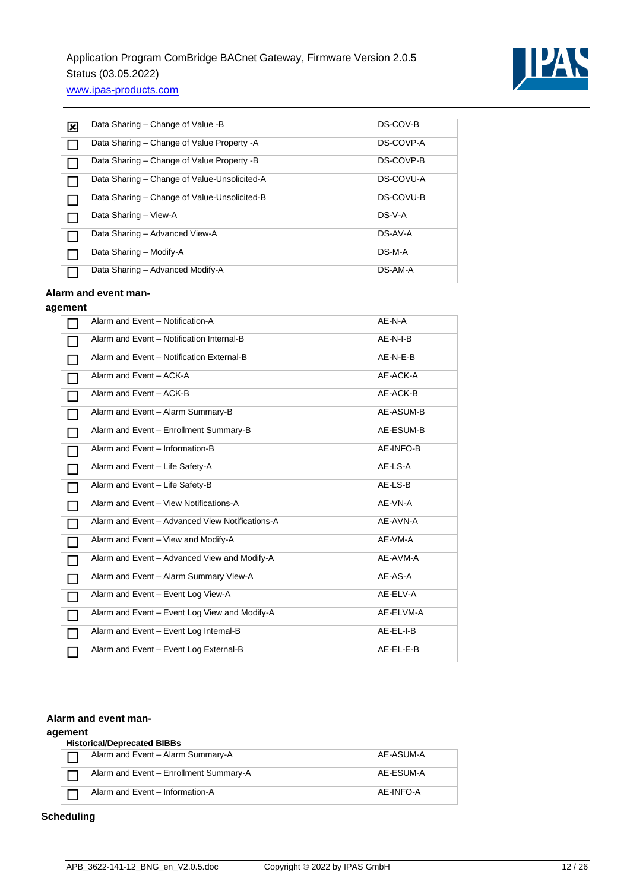

| 図 | Data Sharing - Change of Value -B            | DS-COV-B  |
|---|----------------------------------------------|-----------|
|   | Data Sharing – Change of Value Property - A  | DS-COVP-A |
|   | Data Sharing – Change of Value Property -B   | DS-COVP-B |
|   | Data Sharing - Change of Value-Unsolicited-A | DS-COVU-A |
|   | Data Sharing - Change of Value-Unsolicited-B | DS-COVU-B |
|   | Data Sharing - View-A                        | DS-V-A    |
|   | Data Sharing - Advanced View-A               | DS-AV-A   |
|   | Data Sharing - Modify-A                      | DS-M-A    |
|   | Data Sharing - Advanced Modify-A             | DS-AM-A   |

### **Alarm and event man-**

### **agement**

|              | Alarm and Event - Notification-A                | AE-N-A    |
|--------------|-------------------------------------------------|-----------|
|              | Alarm and Event - Notification Internal-B       | AE-N-I-B  |
| П            | Alarm and Event - Notification External-B       | AE-N-E-B  |
| П            | Alarm and Event - ACK-A                         | AE-ACK-A  |
| $\Box$       | Alarm and Event - ACK-B                         | AE-ACK-B  |
| П            | Alarm and Event - Alarm Summary-B               | AE-ASUM-B |
| П            | Alarm and Event - Enrollment Summary-B          | AE-ESUM-B |
| П            | Alarm and Event - Information-B                 | AE-INFO-B |
| П            | Alarm and Event - Life Safety-A                 | AE-LS-A   |
| П            | Alarm and Event - Life Safety-B                 | AE-LS-B   |
| $\mathbf{L}$ | Alarm and Event - View Notifications-A          | AE-VN-A   |
| $\mathbf{I}$ | Alarm and Event - Advanced View Notifications-A | AE-AVN-A  |
| $\Box$       | Alarm and Event - View and Modify-A             | AE-VM-A   |
| I.           | Alarm and Event - Advanced View and Modify-A    | AE-AVM-A  |
| I.           | Alarm and Event - Alarm Summary View-A          | AE-AS-A   |
| H            | Alarm and Event - Event Log View-A              | AE-ELV-A  |
| П            | Alarm and Event - Event Log View and Modify-A   | AE-ELVM-A |
|              | Alarm and Event - Event Log Internal-B          | AE-EL-I-B |
|              | Alarm and Event - Event Log External-B          | AE-EL-E-B |

#### **Alarm and event man-**

#### **agement**

#### **Historical/Deprecated BIBBs**

| Alarm and Event - Alarm Summary-A      | AE-ASUM-A |
|----------------------------------------|-----------|
| Alarm and Event - Enrollment Summary-A | AE-ESUM-A |
| Alarm and Event - Information-A        | AE-INFO-A |

### **Scheduling**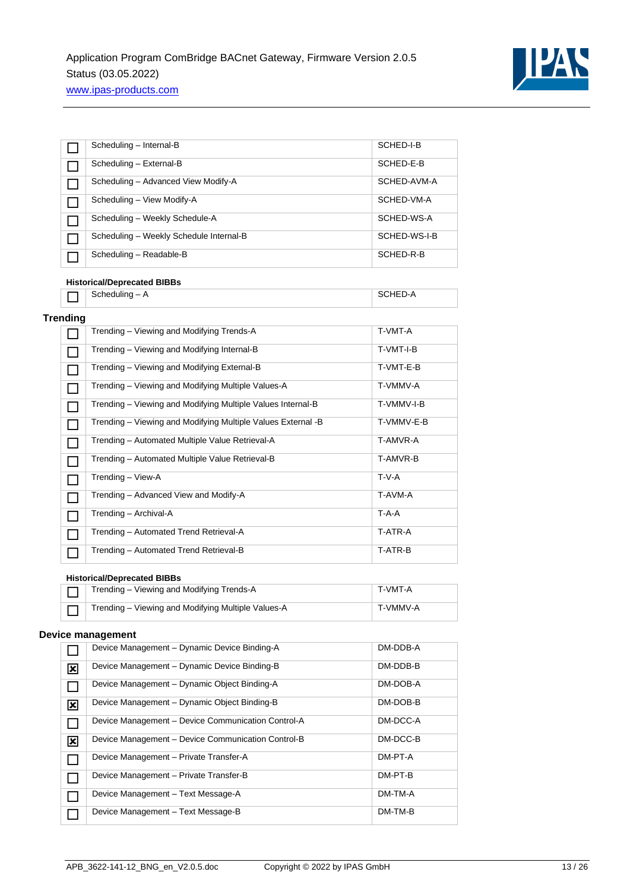

| ٦               | Scheduling - Internal-B                                      | SCHED-I-B    |
|-----------------|--------------------------------------------------------------|--------------|
|                 | Scheduling - External-B                                      | SCHED-E-B    |
| П               | Scheduling - Advanced View Modify-A                          | SCHED-AVM-A  |
| П               | Scheduling - View Modify-A                                   | SCHED-VM-A   |
| П               | Scheduling - Weekly Schedule-A                               | SCHED-WS-A   |
| П               | Scheduling - Weekly Schedule Internal-B                      | SCHED-WS-I-B |
| $\Box$          | Scheduling - Readable-B                                      | SCHED-R-B    |
|                 | <b>Historical/Deprecated BIBBs</b>                           |              |
|                 | $Scheduling - A$                                             | SCHED-A      |
| <b>Trending</b> |                                                              |              |
|                 | Trending - Viewing and Modifying Trends-A                    | T-VMT-A      |
|                 | Trending - Viewing and Modifying Internal-B                  | T-VMT-I-B    |
|                 | Trending - Viewing and Modifying External-B                  | T-VMT-E-B    |
|                 | Trending - Viewing and Modifying Multiple Values-A           | T-VMMV-A     |
| $\Box$          | Trending - Viewing and Modifying Multiple Values Internal-B  | T-VMMV-I-B   |
|                 | Trending - Viewing and Modifying Multiple Values External -B | T-VMMV-E-B   |
| $\Box$          | Trending - Automated Multiple Value Retrieval-A              | T-AMVR-A     |
| П               | Trending - Automated Multiple Value Retrieval-B              | T-AMVR-B     |
| П               | Trending - View-A                                            | $T-V-A$      |
| H               | Trending - Advanced View and Modify-A                        | T-AVM-A      |
| H               | Trending - Archival-A                                        | $T-A-A$      |
| $\Box$          | Trending - Automated Trend Retrieval-A                       | T-ATR-A      |
|                 | Trending - Automated Trend Retrieval-B                       | T-ATR-B      |
|                 | <b>Historical/Deprecated BIBBs</b>                           |              |
|                 | Trending - Viewing and Modifying Trends-A                    | T-VMT-A      |
|                 | Trending - Viewing and Modifying Multiple Values-A           | T-VMMV-A     |

#### **Device management**

|   | Device Management - Dynamic Device Binding-A       | DM-DDB-A |
|---|----------------------------------------------------|----------|
| ⊠ | Device Management - Dynamic Device Binding-B       | DM-DDB-B |
|   | Device Management - Dynamic Object Binding-A       | DM-DOB-A |
| ⊠ | Device Management - Dynamic Object Binding-B       | DM-DOB-B |
|   | Device Management - Device Communication Control-A | DM-DCC-A |
| ⊠ | Device Management - Device Communication Control-B | DM-DCC-B |
|   | Device Management - Private Transfer-A             | DM-PT-A  |
|   | Device Management - Private Transfer-B             | DM-PT-B  |
|   | Device Management - Text Message-A                 | DM-TM-A  |
|   | Device Management - Text Message-B                 | DM-TM-B  |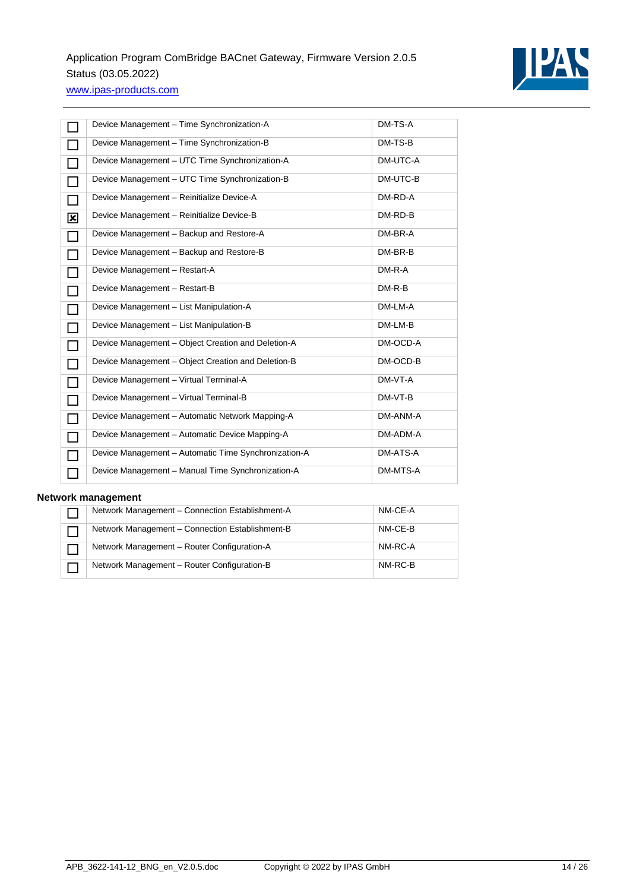

|                             | Device Management - Time Synchronization-A           | DM-TS-A  |
|-----------------------------|------------------------------------------------------|----------|
|                             | Device Management - Time Synchronization-B           | DM-TS-B  |
|                             | Device Management - UTC Time Synchronization-A       | DM-UTC-A |
|                             | Device Management - UTC Time Synchronization-B       | DM-UTC-B |
|                             | Device Management - Reinitialize Device-A            | DM-RD-A  |
| ⊠                           | Device Management - Reinitialize Device-B            | DM-RD-B  |
| $\mathcal{L}_{\mathcal{A}}$ | Device Management - Backup and Restore-A             | DM-BR-A  |
| $\Box$                      | Device Management - Backup and Restore-B             | DM-BR-B  |
| П                           | Device Management - Restart-A                        | DM-R-A   |
| m.                          | Device Management - Restart-B                        | $DM-R-B$ |
|                             | Device Management - List Manipulation-A              | DM-LM-A  |
| $\overline{\phantom{0}}$    | Device Management - List Manipulation-B              | DM-LM-B  |
| n an I                      | Device Management - Object Creation and Deletion-A   | DM-OCD-A |
| $\overline{\phantom{0}}$    | Device Management - Object Creation and Deletion-B   | DM-OCD-B |
|                             | Device Management - Virtual Terminal-A               | DM-VT-A  |
| $\overline{\phantom{0}}$    | Device Management - Virtual Terminal-B               | DM-VT-B  |
| $\Box$                      | Device Management - Automatic Network Mapping-A      | DM-ANM-A |
| П                           | Device Management - Automatic Device Mapping-A       | DM-ADM-A |
|                             | Device Management - Automatic Time Synchronization-A | DM-ATS-A |
|                             | Device Management - Manual Time Synchronization-A    | DM-MTS-A |

### **Network management**

| Network Management - Connection Establishment-A | NM-CE-A |
|-------------------------------------------------|---------|
| Network Management - Connection Establishment-B | NM-CE-B |
| Network Management - Router Configuration-A     | NM-RC-A |
| Network Management - Router Configuration-B     | NM-RC-B |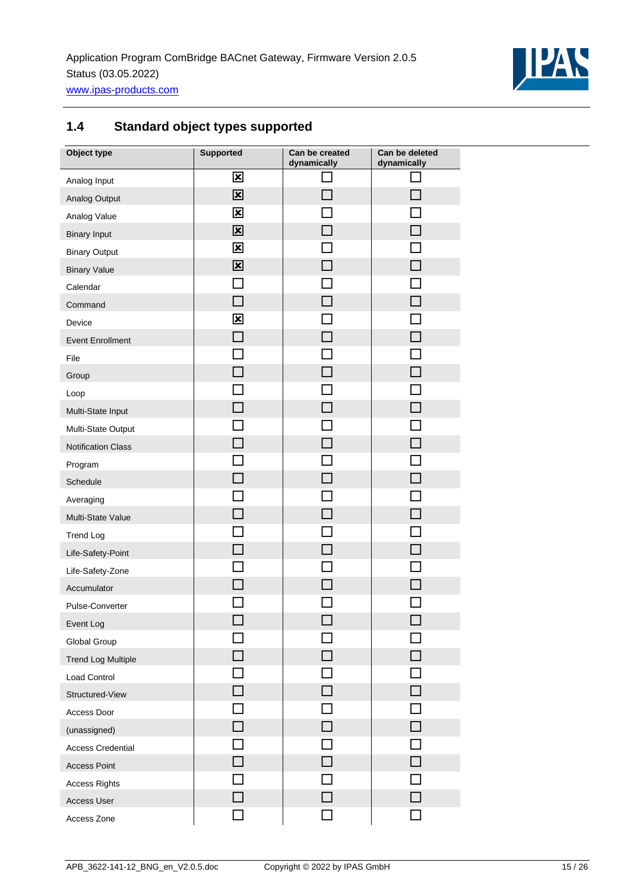

## <span id="page-14-0"></span>**1.4 Standard object types supported**

| Object type               | <b>Supported</b>            | Can be created<br>dynamically | Can be deleted<br>dynamically |
|---------------------------|-----------------------------|-------------------------------|-------------------------------|
| Analog Input              | 区                           |                               |                               |
| Analog Output             | $\overline{\mathbf{x}}$     | П                             |                               |
| Analog Value              | $\overline{\mathbf{x}}$     |                               |                               |
| <b>Binary Input</b>       | 区                           | L.                            |                               |
| <b>Binary Output</b>      | $\overline{\mathbf{x}}$     |                               |                               |
| <b>Binary Value</b>       | $\overline{\mathbf{x}}$     | $\Box$                        |                               |
| Calendar                  | $\blacksquare$              |                               |                               |
| Command                   | <b>COL</b>                  | <b>COL</b>                    |                               |
| Device                    | 区                           |                               |                               |
| <b>Event Enrollment</b>   | $\overline{\phantom{a}}$    | m.                            |                               |
| File                      |                             | $\mathcal{L}$                 |                               |
| Group                     | $\mathcal{L}_{\mathcal{A}}$ | $\Box$                        |                               |
| Loop                      |                             |                               |                               |
| Multi-State Input         | П                           | $\overline{\phantom{a}}$      |                               |
| Multi-State Output        |                             |                               |                               |
| <b>Notification Class</b> |                             | П                             |                               |
| Program                   |                             |                               |                               |
| Schedule                  |                             | $\Box$                        |                               |
| Averaging                 |                             |                               |                               |
| Multi-State Value         |                             |                               |                               |
| <b>Trend Log</b>          |                             |                               |                               |
| Life-Safety-Point         | $\Box$                      |                               |                               |
| Life-Safety-Zone          |                             |                               |                               |
| Accumulator               |                             |                               |                               |
| Pulse-Converter           |                             |                               |                               |
| Event Log                 | $\Box$                      | $\Box$                        |                               |
| Global Group              |                             |                               |                               |
| <b>Trend Log Multiple</b> |                             |                               |                               |
| Load Control              |                             |                               |                               |
| Structured-View           |                             |                               |                               |
| Access Door               |                             |                               |                               |
| (unassigned)              |                             | П                             |                               |
| <b>Access Credential</b>  |                             |                               |                               |
| <b>Access Point</b>       |                             |                               |                               |
| <b>Access Rights</b>      |                             |                               |                               |
| Access User               |                             |                               |                               |
| Access Zone               |                             |                               |                               |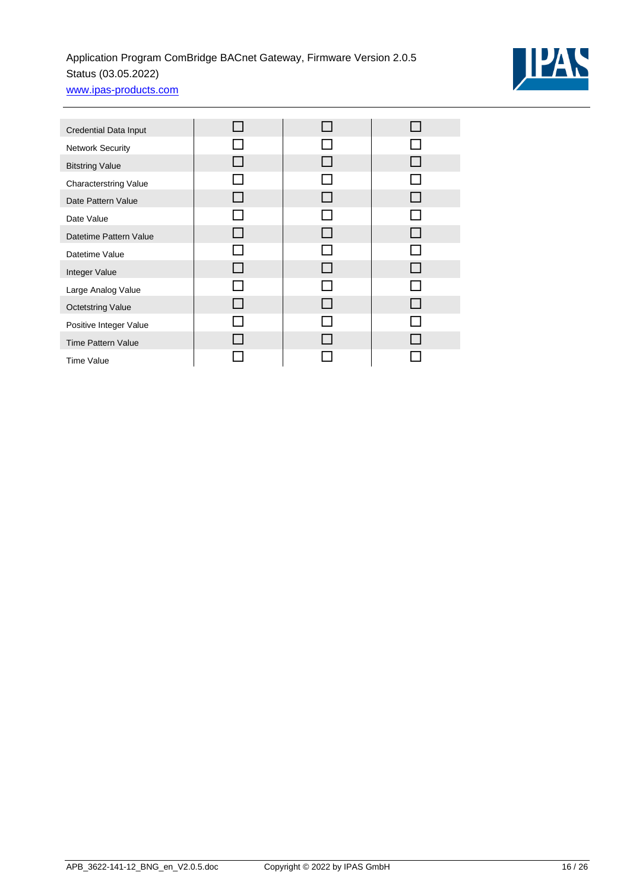

| Credential Data Input        |  |              |
|------------------------------|--|--------------|
| <b>Network Security</b>      |  |              |
| <b>Bitstring Value</b>       |  | $\mathbf{I}$ |
| <b>Characterstring Value</b> |  |              |
| Date Pattern Value           |  |              |
| Date Value                   |  |              |
| Datetime Pattern Value       |  |              |
| Datetime Value               |  |              |
| Integer Value                |  | $\mathsf{L}$ |
| Large Analog Value           |  |              |
| <b>Octetstring Value</b>     |  |              |
| Positive Integer Value       |  |              |
| <b>Time Pattern Value</b>    |  |              |
| <b>Time Value</b>            |  |              |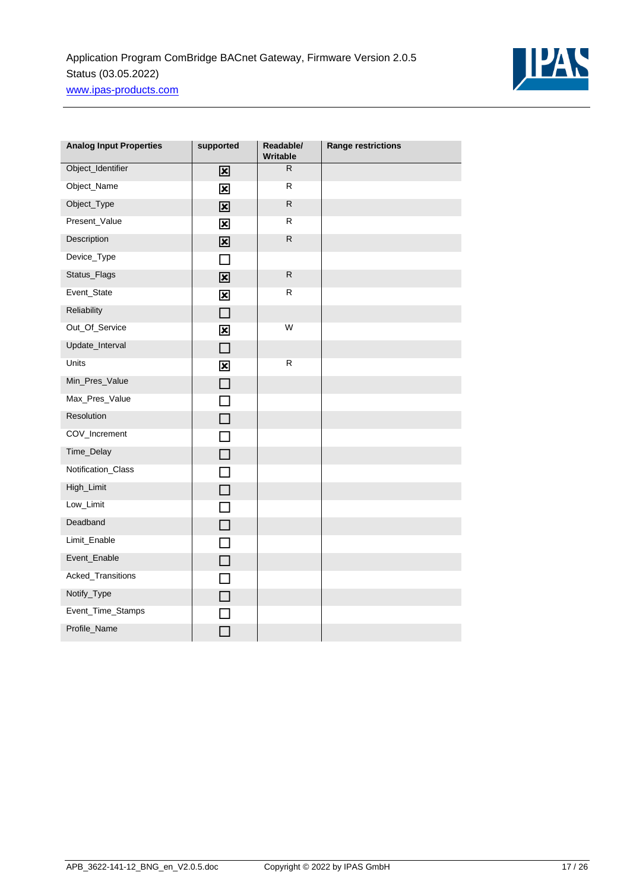

| <b>Analog Input Properties</b> | supported               | Readable/<br>Writable | <b>Range restrictions</b> |
|--------------------------------|-------------------------|-----------------------|---------------------------|
| Object_Identifier              | 区                       | R.                    |                           |
| Object_Name                    | $\overline{\mathbf{x}}$ | R                     |                           |
| Object_Type                    | $\overline{\mathbf{x}}$ | $\mathsf{R}$          |                           |
| Present_Value                  | $\overline{\mathbf{x}}$ | R.                    |                           |
| Description                    | $\overline{\mathbf{x}}$ | ${\sf R}$             |                           |
| Device_Type                    | П                       |                       |                           |
| Status_Flags                   | $\overline{\mathbf{x}}$ | $\mathsf{R}$          |                           |
| Event_State                    | $\overline{\mathbf{x}}$ | R                     |                           |
| Reliability                    | $\Box$                  |                       |                           |
| Out_Of_Service                 | $\overline{\mathbf{x}}$ | W                     |                           |
| Update_Interval                | $\Box$                  |                       |                           |
| Units                          | $\overline{\mathbf{x}}$ | R                     |                           |
| Min_Pres_Value                 | $\Box$                  |                       |                           |
| Max_Pres_Value                 | П                       |                       |                           |
| Resolution                     | $\Box$                  |                       |                           |
| COV_Increment                  | $\Box$                  |                       |                           |
| Time_Delay                     | $\Box$                  |                       |                           |
| Notification_Class             | П                       |                       |                           |
| High_Limit                     | $\Box$                  |                       |                           |
| Low_Limit                      | П                       |                       |                           |
| Deadband                       | $\Box$                  |                       |                           |
| Limit_Enable                   | $\Box$                  |                       |                           |
| Event_Enable                   | $\Box$                  |                       |                           |
| Acked_Transitions              | П                       |                       |                           |
| Notify_Type                    | $\Box$                  |                       |                           |
| Event_Time_Stamps              |                         |                       |                           |
| Profile_Name                   |                         |                       |                           |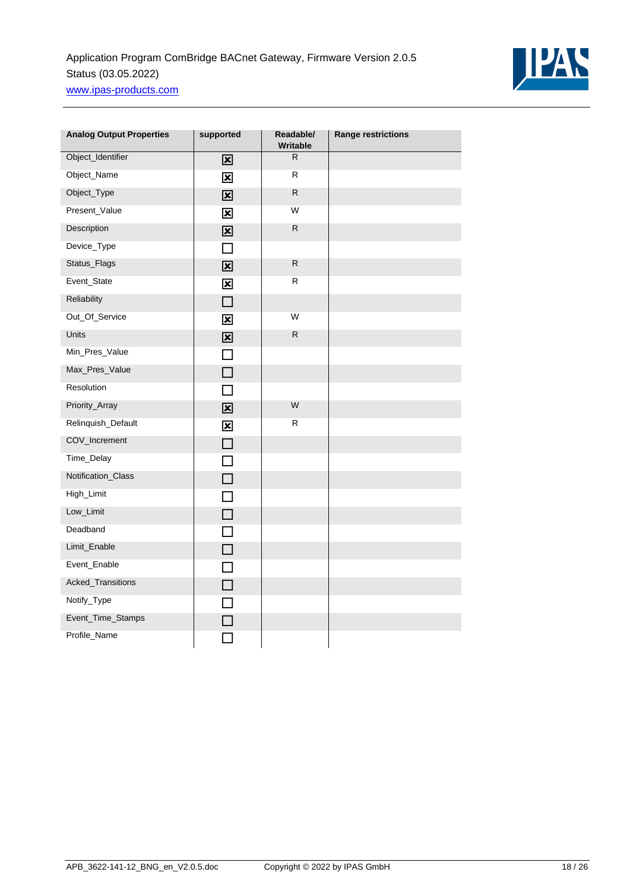

| <b>Analog Output Properties</b> | supported                | Readable/<br>Writable | <b>Range restrictions</b> |
|---------------------------------|--------------------------|-----------------------|---------------------------|
| Object_Identifier               | 区                        | $\overline{R}$        |                           |
| Object_Name                     | 図                        | R                     |                           |
| Object_Type                     | $\overline{\mathbf{x}}$  | $\mathsf{R}$          |                           |
| Present_Value                   | $\overline{\mathbf{x}}$  | W                     |                           |
| Description                     | 図                        | ${\sf R}$             |                           |
| Device_Type                     | П                        |                       |                           |
| Status_Flags                    | $\overline{\mathbf{x}}$  | ${\sf R}$             |                           |
| Event_State                     | $\overline{\mathbf{x}}$  | R                     |                           |
| Reliability                     | $\Box$                   |                       |                           |
| Out_Of_Service                  | $\overline{\mathbf{x}}$  | W                     |                           |
| <b>Units</b>                    | $\overline{\mathbf{x}}$  | $\mathsf{R}$          |                           |
| Min_Pres_Value                  | $\Box$                   |                       |                           |
| Max_Pres_Value                  | $\Box$                   |                       |                           |
| Resolution                      | П                        |                       |                           |
| Priority_Array                  | $\overline{\mathbf{x}}$  | W                     |                           |
| Relinquish_Default              | $\overline{\mathbf{x}}$  | R                     |                           |
| COV_Increment                   | $\Box$                   |                       |                           |
| Time_Delay                      | П                        |                       |                           |
| Notification_Class              | П                        |                       |                           |
| High_Limit                      | $\overline{\phantom{a}}$ |                       |                           |
| Low_Limit                       | П                        |                       |                           |
| Deadband                        | П                        |                       |                           |
| Limit_Enable                    | $\Box$                   |                       |                           |
| Event_Enable                    | П                        |                       |                           |
| Acked_Transitions               | $\Box$                   |                       |                           |
| Notify_Type                     | П                        |                       |                           |
| Event_Time_Stamps               |                          |                       |                           |
| Profile_Name                    |                          |                       |                           |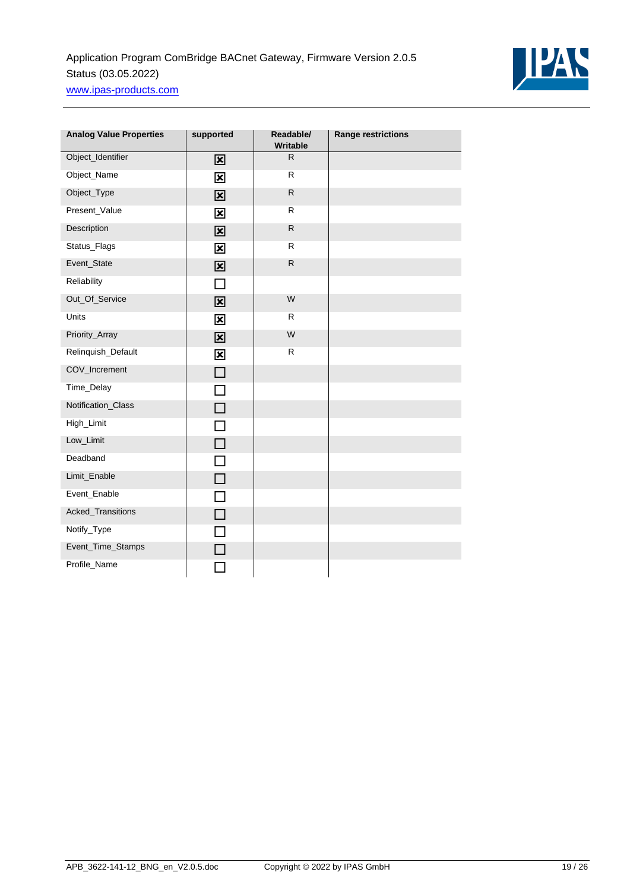

| <b>Analog Value Properties</b> | supported                 | Readable/<br>Writable | <b>Range restrictions</b> |
|--------------------------------|---------------------------|-----------------------|---------------------------|
| Object_Identifier              | 図                         | $\mathsf{R}$          |                           |
| Object_Name                    | $\overline{\mathbf{x}}$   | $\mathsf R$           |                           |
| Object_Type                    | $\overline{\mathbf{x}}$   | ${\sf R}$             |                           |
| Present_Value                  | $\overline{\mathbf{x}}$   | $\mathsf{R}$          |                           |
| Description                    | $\overline{\mathbf{x}}$   | ${\sf R}$             |                           |
| Status_Flags                   | $\overline{\mathbf{x}}$   | R                     |                           |
| Event_State                    | $\overline{\mathbf{x}}$   | $\mathsf R$           |                           |
| Reliability                    | П                         |                       |                           |
| Out_Of_Service                 | $\overline{\mathbf{x}}$   | W                     |                           |
| Units                          | $\boldsymbol{\mathsf{x}}$ | R                     |                           |
| Priority_Array                 | $\overline{\mathbf{x}}$   | W                     |                           |
| Relinquish_Default             | $\overline{\mathbf{x}}$   | ${\sf R}$             |                           |
| COV_Increment                  | $\Box$                    |                       |                           |
| Time_Delay                     | П                         |                       |                           |
| Notification_Class             | $\Box$                    |                       |                           |
| High_Limit                     | $\Box$                    |                       |                           |
| Low_Limit                      | $\Box$                    |                       |                           |
| Deadband                       | $\Box$                    |                       |                           |
| Limit_Enable                   | $\Box$                    |                       |                           |
| Event_Enable                   | П                         |                       |                           |
| Acked_Transitions              | $\Box$                    |                       |                           |
| Notify_Type                    | $\Box$                    |                       |                           |
| Event_Time_Stamps              | П                         |                       |                           |
| Profile_Name                   |                           |                       |                           |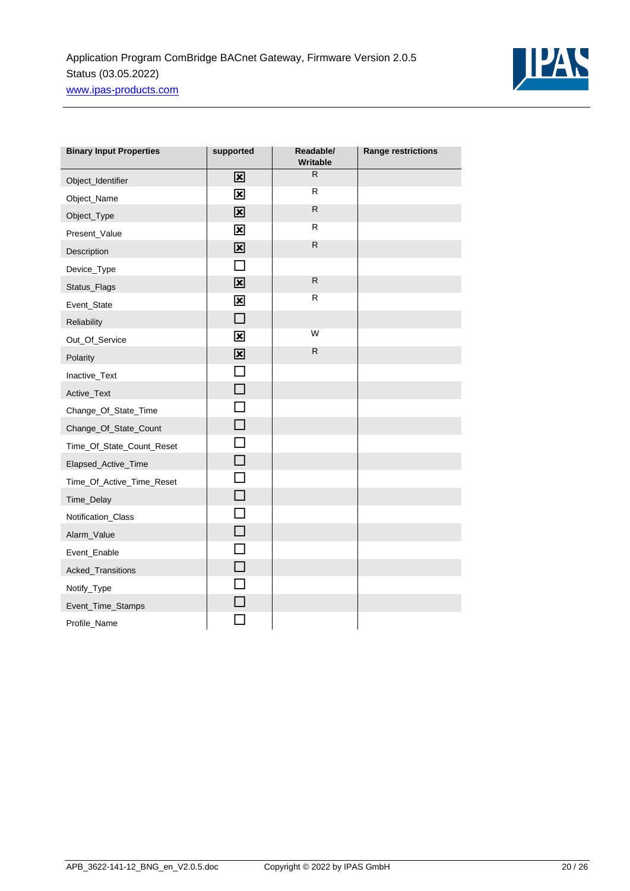

| <b>Binary Input Properties</b> | supported               | Readable/<br><b>Writable</b> | <b>Range restrictions</b> |
|--------------------------------|-------------------------|------------------------------|---------------------------|
| Object_Identifier              | 図                       | R.                           |                           |
| Object_Name                    | $\overline{\mathbf{x}}$ | R.                           |                           |
| Object_Type                    | $\overline{\mathbf{x}}$ | ${\sf R}$                    |                           |
| Present_Value                  | $\overline{\mathbf{x}}$ | $\mathsf{R}$                 |                           |
| Description                    | $\overline{\mathbf{x}}$ | $\mathsf{R}$                 |                           |
| Device_Type                    | П                       |                              |                           |
| Status_Flags                   | $\overline{\mathbf{x}}$ | $\mathsf{R}$                 |                           |
| Event_State                    | $\overline{\mathbf{x}}$ | R.                           |                           |
| Reliability                    | $\Box$                  |                              |                           |
| Out_Of_Service                 | $\overline{\mathbf{x}}$ | W                            |                           |
| Polarity                       | $\overline{\mathbf{x}}$ | $\mathsf{R}$                 |                           |
| Inactive_Text                  | $\Box$                  |                              |                           |
| Active_Text                    | $\Box$                  |                              |                           |
| Change_Of_State_Time           | $\Box$                  |                              |                           |
| Change_Of_State_Count          | $\Box$                  |                              |                           |
| Time_Of_State_Count_Reset      | П                       |                              |                           |
| Elapsed_Active_Time            | $\Box$                  |                              |                           |
| Time_Of_Active_Time_Reset      | П                       |                              |                           |
| Time_Delay                     | $\Box$                  |                              |                           |
| Notification_Class             | $\Box$                  |                              |                           |
| Alarm_Value                    | $\Box$                  |                              |                           |
| Event_Enable                   | $\Box$                  |                              |                           |
| Acked_Transitions              | $\Box$                  |                              |                           |
| Notify_Type                    | П                       |                              |                           |
| Event_Time_Stamps              | П                       |                              |                           |
| Profile_Name                   |                         |                              |                           |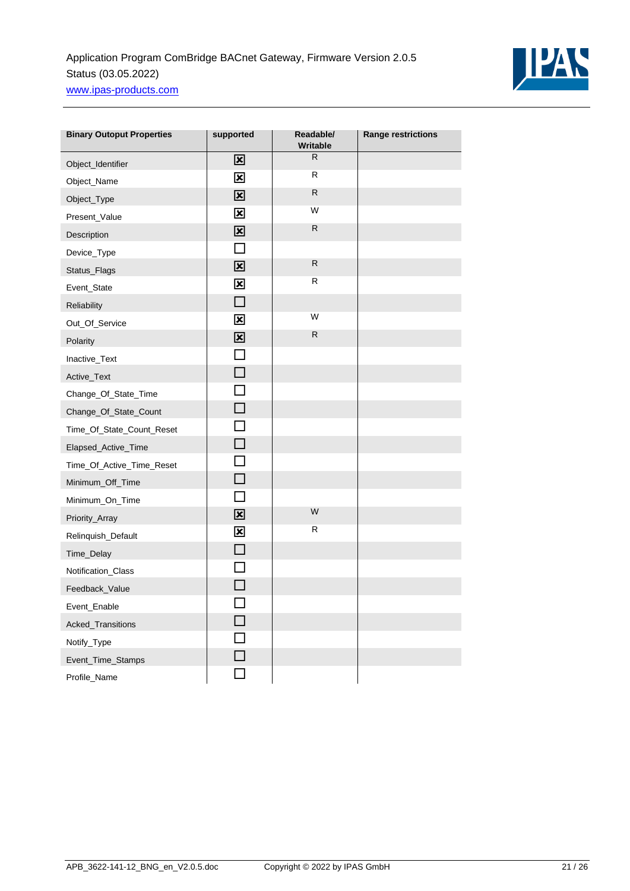

| <b>Binary Outoput Properties</b> | supported               | Readable/<br>Writable | <b>Range restrictions</b> |
|----------------------------------|-------------------------|-----------------------|---------------------------|
| Object_Identifier                | 図                       | $\mathsf{R}$          |                           |
| Object_Name                      | $\overline{\mathbf{x}}$ | R                     |                           |
| Object_Type                      | $\overline{\mathbf{x}}$ | $\mathsf{R}$          |                           |
| Present_Value                    | $\overline{\mathbf{x}}$ | W                     |                           |
| Description                      | $\overline{\mathbf{x}}$ | $\mathsf{R}$          |                           |
| Device_Type                      | ΙI                      |                       |                           |
| Status_Flags                     | $\overline{\mathbf{x}}$ | ${\sf R}$             |                           |
| Event_State                      | 図                       | R                     |                           |
| Reliability                      | П                       |                       |                           |
| Out_Of_Service                   | $\overline{\mathbf{x}}$ | W                     |                           |
| Polarity                         | $\mathbf{\overline{x}}$ | $\mathsf{R}$          |                           |
| Inactive_Text                    |                         |                       |                           |
| Active_Text                      | П                       |                       |                           |
| Change_Of_State_Time             |                         |                       |                           |
| Change_Of_State_Count            | H                       |                       |                           |
| Time_Of_State_Count_Reset        |                         |                       |                           |
| Elapsed_Active_Time              |                         |                       |                           |
| Time_Of_Active_Time_Reset        |                         |                       |                           |
| Minimum_Off_Time                 | H                       |                       |                           |
| Minimum_On_Time                  |                         |                       |                           |
| Priority_Array                   | $\mathbf{\overline{x}}$ | W                     |                           |
| Relinquish_Default               | 図                       | R                     |                           |
| Time_Delay                       |                         |                       |                           |
| Notification_Class               |                         |                       |                           |
| Feedback_Value                   |                         |                       |                           |
| Event_Enable                     | - 1                     |                       |                           |
| Acked_Transitions                |                         |                       |                           |
| Notify_Type                      |                         |                       |                           |
| Event_Time_Stamps                |                         |                       |                           |
| Profile_Name                     |                         |                       |                           |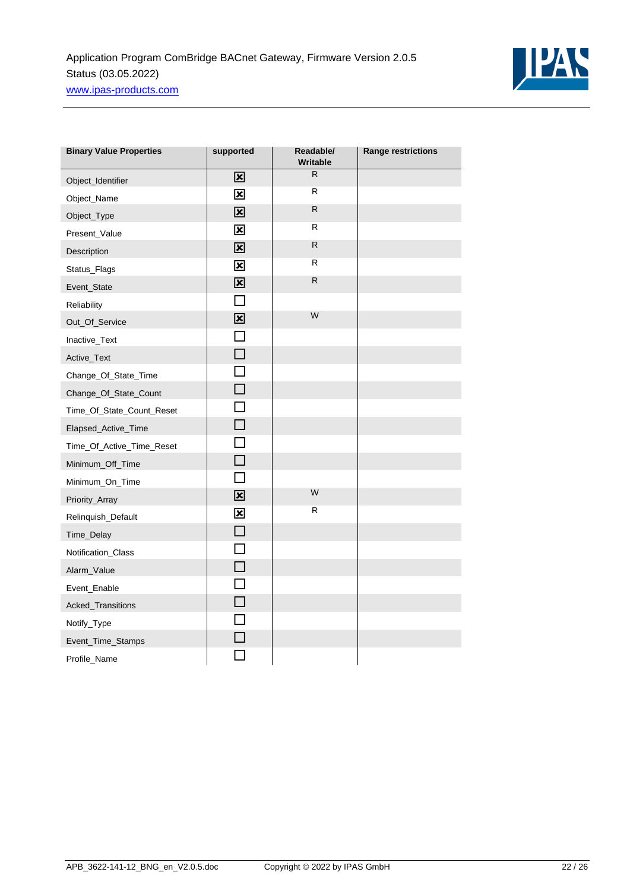

| <b>Binary Value Properties</b> | supported               | Readable/<br><b>Writable</b> | <b>Range restrictions</b> |
|--------------------------------|-------------------------|------------------------------|---------------------------|
| Object_Identifier              | 図                       | R                            |                           |
| Object_Name                    | $\mathbf{\overline{x}}$ | R.                           |                           |
| Object_Type                    | 区                       | R.                           |                           |
| Present_Value                  | $\overline{\mathbf{x}}$ | R                            |                           |
| Description                    | 図                       | $\mathsf R$                  |                           |
| Status_Flags                   | $\overline{\mathbf{x}}$ | R                            |                           |
| Event_State                    | $\overline{\mathbf{x}}$ | ${\sf R}$                    |                           |
| Reliability                    | $\Box$                  |                              |                           |
| Out_Of_Service                 | $\overline{\mathbf{x}}$ | W                            |                           |
| Inactive_Text                  | $\Box$                  |                              |                           |
| Active_Text                    | $\Box$                  |                              |                           |
| Change_Of_State_Time           | П                       |                              |                           |
| Change_Of_State_Count          | $\Box$                  |                              |                           |
| Time_Of_State_Count_Reset      | $\Box$                  |                              |                           |
| Elapsed_Active_Time            | $\Box$                  |                              |                           |
| Time_Of_Active_Time_Reset      | $\Box$                  |                              |                           |
| Minimum_Off_Time               | $\Box$                  |                              |                           |
| Minimum_On_Time                | П                       |                              |                           |
| Priority_Array                 | 図                       | W                            |                           |
| Relinquish_Default             | $\overline{\mathbf{x}}$ | R.                           |                           |
| Time_Delay                     | $\Box$                  |                              |                           |
| Notification_Class             | $\Box$                  |                              |                           |
| Alarm_Value                    | $\Box$                  |                              |                           |
| Event_Enable                   | $\Box$                  |                              |                           |
| Acked_Transitions              | $\Box$                  |                              |                           |
| Notify_Type                    | $\Box$                  |                              |                           |
| Event_Time_Stamps              |                         |                              |                           |
| Profile_Name                   |                         |                              |                           |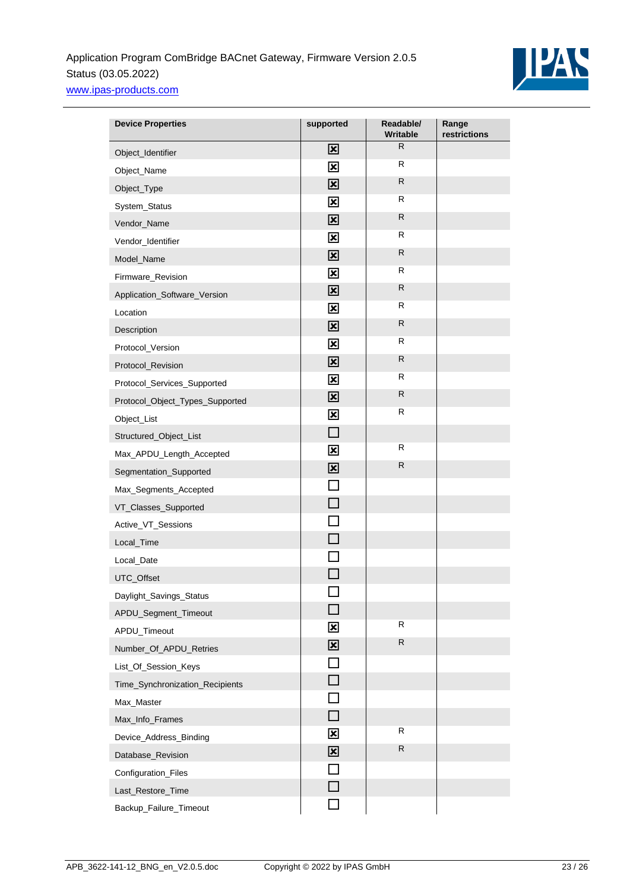

| <b>Device Properties</b>        | supported               | Readable/<br><b>Writable</b> | Range<br>restrictions |
|---------------------------------|-------------------------|------------------------------|-----------------------|
| Object_Identifier               | 図                       | R.                           |                       |
| Object_Name                     | 図                       | $\mathsf{R}$                 |                       |
| Object_Type                     | $\mathbf{\overline{x}}$ | R.                           |                       |
| System_Status                   | $\overline{\mathbf{x}}$ | R                            |                       |
| Vendor_Name                     | 区                       | R.                           |                       |
| Vendor_Identifier               | $\overline{\mathbf{x}}$ | R                            |                       |
| Model_Name                      | $\overline{\mathbf{x}}$ | $\mathsf{R}$                 |                       |
| Firmware_Revision               | $\overline{\mathbf{x}}$ | R                            |                       |
| Application_Software_Version    | $\mathbf{\overline{x}}$ | R                            |                       |
| Location                        | $\overline{\mathbf{x}}$ | R                            |                       |
| Description                     | $\overline{\mathbf{x}}$ | R                            |                       |
| Protocol_Version                | $\overline{\mathbf{x}}$ | R                            |                       |
| Protocol_Revision               | $\overline{\mathbf{x}}$ | $\mathsf{R}$                 |                       |
| Protocol_Services_Supported     | $\overline{\mathbf{x}}$ | $\mathsf{R}$                 |                       |
| Protocol_Object_Types_Supported | 図                       | R.                           |                       |
| Object_List                     | $\overline{\mathbf{x}}$ | R                            |                       |
| Structured_Object_List          | $\Box$                  |                              |                       |
| Max_APDU_Length_Accepted        | $\overline{\mathbf{x}}$ | R                            |                       |
| Segmentation_Supported          | $\overline{\mathbf{x}}$ | R.                           |                       |
| Max_Segments_Accepted           | П                       |                              |                       |
| VT_Classes_Supported            | П                       |                              |                       |
| Active_VT_Sessions              | П                       |                              |                       |
| Local_Time                      | П                       |                              |                       |
| Local_Date                      |                         |                              |                       |
| UTC_Offset                      |                         |                              |                       |
| Daylight_Savings_Status         |                         |                              |                       |
| APDU_Segment_Timeout            | H                       |                              |                       |
| APDU_Timeout                    | $\overline{\mathbf{x}}$ | $\mathsf R$                  |                       |
| Number_Of_APDU_Retries          | $\overline{\mathbf{x}}$ | R                            |                       |
| List_Of_Session_Keys            | $\Box$                  |                              |                       |
| Time_Synchronization_Recipients | $\Box$                  |                              |                       |
| Max_Master                      | $\sim$                  |                              |                       |
| Max_Info_Frames                 | $\Box$                  |                              |                       |
| Device_Address_Binding          | $\overline{\mathbf{x}}$ | R                            |                       |
| Database_Revision               | $\overline{\mathbf{x}}$ | $\mathsf R$                  |                       |
| Configuration_Files             | П                       |                              |                       |
| Last_Restore_Time               | П                       |                              |                       |
| Backup_Failure_Timeout          |                         |                              |                       |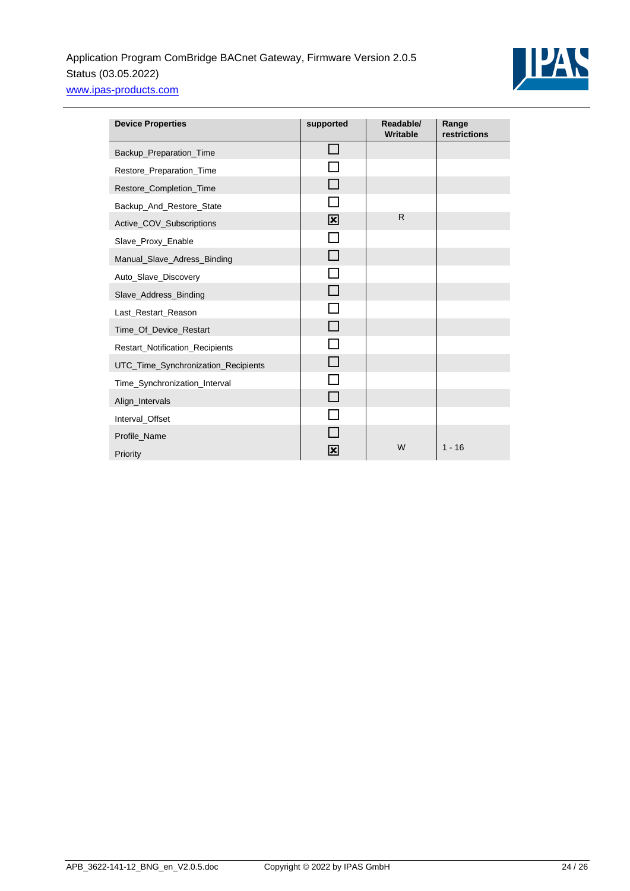

| <b>Device Properties</b>            | supported               | Readable/<br><b>Writable</b> | Range<br>restrictions |
|-------------------------------------|-------------------------|------------------------------|-----------------------|
| Backup_Preparation_Time             | $\mathsf{L}$            |                              |                       |
| Restore_Preparation_Time            |                         |                              |                       |
| Restore_Completion_Time             | H                       |                              |                       |
| Backup_And_Restore_State            | <b>COL</b>              |                              |                       |
| Active_COV_Subscriptions            | $\mathbf{\overline{x}}$ | $\mathsf{R}$                 |                       |
| Slave_Proxy_Enable                  | $\sim$                  |                              |                       |
| Manual_Slave_Adress_Binding         | ┓                       |                              |                       |
| Auto_Slave_Discovery                |                         |                              |                       |
| Slave_Address_Binding               | П                       |                              |                       |
| Last_Restart_Reason                 | n.                      |                              |                       |
| Time_Of_Device_Restart              | П                       |                              |                       |
| Restart_Notification_Recipients     | n                       |                              |                       |
| UTC_Time_Synchronization_Recipients | $\Box$                  |                              |                       |
| Time_Synchronization_Interval       | $\sim$                  |                              |                       |
| Align_Intervals                     | H                       |                              |                       |
| Interval_Offset                     | $\Box$                  |                              |                       |
| Profile_Name                        |                         |                              |                       |
| Priority                            | ⊠                       | W                            | $1 - 16$              |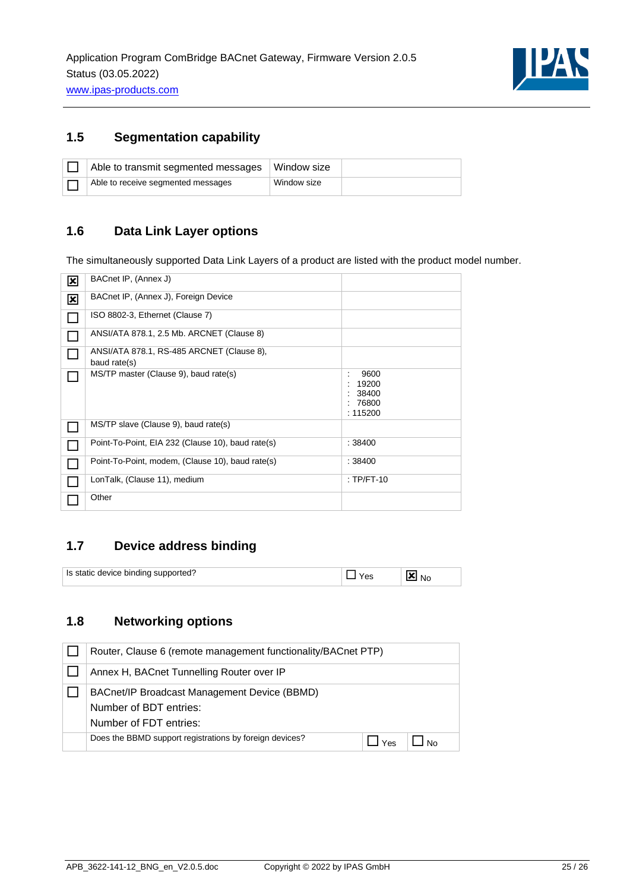

# <span id="page-24-0"></span>**1.5 Segmentation capability**

| Able to transmit segmented messages | Window size |  |
|-------------------------------------|-------------|--|
| Able to receive segmented messages  | Window size |  |

## <span id="page-24-1"></span>**1.6 Data Link Layer options**

The simultaneously supported Data Link Layers of a product are listed with the product model number.

| ⊠                       | BACnet IP, (Annex J)                                      |                                               |
|-------------------------|-----------------------------------------------------------|-----------------------------------------------|
| $\overline{\mathbf{x}}$ | BACnet IP, (Annex J), Foreign Device                      |                                               |
|                         | ISO 8802-3, Ethernet (Clause 7)                           |                                               |
|                         | ANSI/ATA 878.1, 2.5 Mb. ARCNET (Clause 8)                 |                                               |
|                         | ANSI/ATA 878.1, RS-485 ARCNET (Clause 8),<br>baud rate(s) |                                               |
|                         | MS/TP master (Clause 9), baud rate(s)                     | 9600<br>19200<br>38400<br>: 76800<br>: 115200 |
|                         | MS/TP slave (Clause 9), baud rate(s)                      |                                               |
|                         | Point-To-Point, EIA 232 (Clause 10), baud rate(s)         | : 38400                                       |
|                         | Point-To-Point, modem, (Clause 10), baud rate(s)          | : 38400                                       |
|                         | LonTalk, (Clause 11), medium                              | $:TP/FT-10$                                   |
|                         | Other                                                     |                                               |

## <span id="page-24-2"></span>**1.7 Device address binding**

| $\,$ . device binding $\,\hat{}\,$<br>Is static<br>ാrted.<br>:1 I I |  |  |  |
|---------------------------------------------------------------------|--|--|--|
|---------------------------------------------------------------------|--|--|--|

## <span id="page-24-3"></span>**1.8 Networking options**

| Router, Clause 6 (remote management functionality/BACnet PTP)                                    |                 |  |
|--------------------------------------------------------------------------------------------------|-----------------|--|
| Annex H, BACnet Tunnelling Router over IP                                                        |                 |  |
| BACnet/IP Broadcast Management Device (BBMD)<br>Number of BDT entries:<br>Number of FDT entries: |                 |  |
| Does the BBMD support registrations by foreign devices?                                          | $V_{\text{BS}}$ |  |